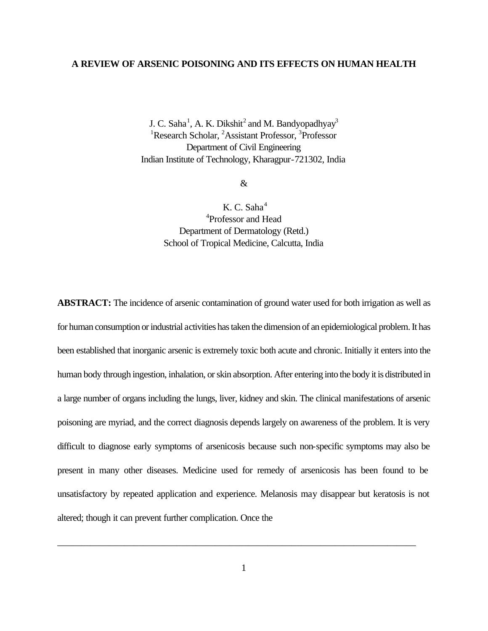#### **A REVIEW OF ARSENIC POISONING AND ITS EFFECTS ON HUMAN HEALTH**

J. C. Saha<sup>1</sup>, A. K. Dikshit<sup>2</sup> and M. Bandyopadhyay<sup>3</sup> <sup>1</sup>Research Scholar, <sup>2</sup>Assistant Professor, <sup>3</sup>Professor Department of Civil Engineering Indian Institute of Technology, Kharagpur-721302, India

&

K. C. Saha<sup>4</sup> 4 Professor and Head Department of Dermatology (Retd.) School of Tropical Medicine, Calcutta, India

**ABSTRACT:** The incidence of arsenic contamination of ground water used for both irrigation as well as for human consumption or industrial activities has taken the dimension of an epidemiological problem. It has been established that inorganic arsenic is extremely toxic both acute and chronic. Initially it enters into the human body through ingestion, inhalation, or skin absorption. After entering into the body it is distributed in a large number of organs including the lungs, liver, kidney and skin. The clinical manifestations of arsenic poisoning are myriad, and the correct diagnosis depends largely on awareness of the problem. It is very difficult to diagnose early symptoms of arsenicosis because such non-specific symptoms may also be present in many other diseases. Medicine used for remedy of arsenicosis has been found to be unsatisfactory by repeated application and experience. Melanosis may disappear but keratosis is not altered; though it can prevent further complication. Once the

\_\_\_\_\_\_\_\_\_\_\_\_\_\_\_\_\_\_\_\_\_\_\_\_\_\_\_\_\_\_\_\_\_\_\_\_\_\_\_\_\_\_\_\_\_\_\_\_\_\_\_\_\_\_\_\_\_\_\_\_\_\_\_\_\_\_\_\_\_\_\_\_\_\_\_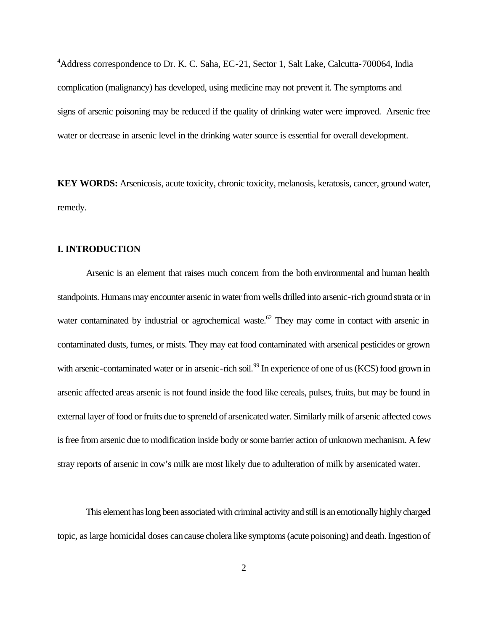<sup>4</sup>Address correspondence to Dr. K. C. Saha, EC-21, Sector 1, Salt Lake, Calcutta-700064, India complication (malignancy) has developed, using medicine may not prevent it. The symptoms and signs of arsenic poisoning may be reduced if the quality of drinking water were improved. Arsenic free water or decrease in arsenic level in the drinking water source is essential for overall development.

**KEY WORDS:** Arsenicosis, acute toxicity, chronic toxicity, melanosis, keratosis, cancer, ground water, remedy.

#### **I. INTRODUCTION**

Arsenic is an element that raises much concern from the both environmental and human health standpoints. Humans may encounter arsenic in water from wells drilled into arsenic-rich ground strata or in water contaminated by industrial or agrochemical waste.<sup>62</sup> They may come in contact with arsenic in contaminated dusts, fumes, or mists. They may eat food contaminated with arsenical pesticides or grown with arsenic-contaminated water or in arsenic-rich soil.<sup>99</sup> In experience of one of us (KCS) food grown in arsenic affected areas arsenic is not found inside the food like cereals, pulses, fruits, but may be found in external layer of food or fruits due to spreneld of arsenicated water. Similarly milk of arsenic affected cows is free from arsenic due to modification inside body or some barrier action of unknown mechanism. A few stray reports of arsenic in cow's milk are most likely due to adulteration of milk by arsenicated water.

This element has long been associated with criminal activity and still is an emotionally highly charged topic, as large homicidal doses can cause cholera like symptoms (acute poisoning) and death. Ingestion of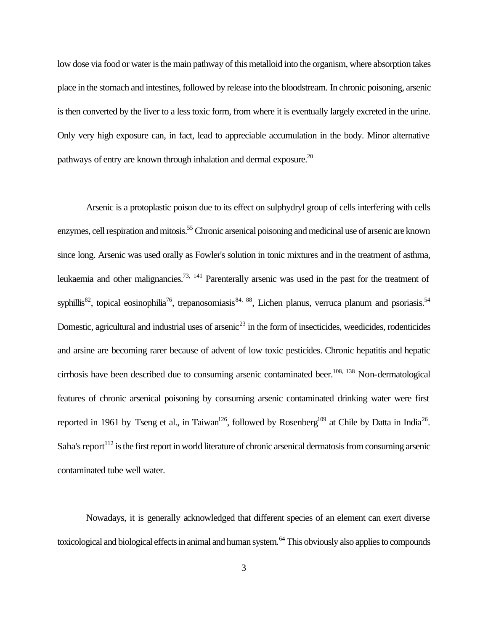low dose via food or water is the main pathway of this metalloid into the organism, where absorption takes place in the stomach and intestines, followed by release into the bloodstream. In chronic poisoning, arsenic is then converted by the liver to a less toxic form, from where it is eventually largely excreted in the urine. Only very high exposure can, in fact, lead to appreciable accumulation in the body. Minor alternative pathways of entry are known through inhalation and dermal exposure.<sup>20</sup>

Arsenic is a protoplastic poison due to its effect on sulphydryl group of cells interfering with cells enzymes, cell respiration and mitosis.<sup>55</sup> Chronic arsenical poisoning and medicinal use of arsenic are known since long. Arsenic was used orally as Fowler's solution in tonic mixtures and in the treatment of asthma, leukaemia and other malignancies.<sup>73, 141</sup> Parenterally arsenic was used in the past for the treatment of syphillis<sup>82</sup>, topical eosinophilia<sup>76</sup>, trepanosomiasis<sup>84, 88</sup>, Lichen planus, verruca planum and psoriasis.<sup>54</sup> Domestic, agricultural and industrial uses of arsenic<sup>23</sup> in the form of insecticides, weedicides, rodenticides and arsine are becoming rarer because of advent of low toxic pesticides. Chronic hepatitis and hepatic cirrhosis have been described due to consuming arsenic contaminated beer.<sup>108, 138</sup> Non-dermatological features of chronic arsenical poisoning by consuming arsenic contaminated drinking water were first reported in 1961 by Tseng et al., in Taiwan<sup>126</sup>, followed by Rosenberg<sup>109</sup> at Chile by Datta in India<sup>26</sup>. Saha's report<sup>112</sup> is the first report in world literature of chronic arsenical dermatosis from consuming arsenic contaminated tube well water.

Nowadays, it is generally acknowledged that different species of an element can exert diverse toxicological and biological effects in animal and human system.<sup>64</sup> This obviously also applies to compounds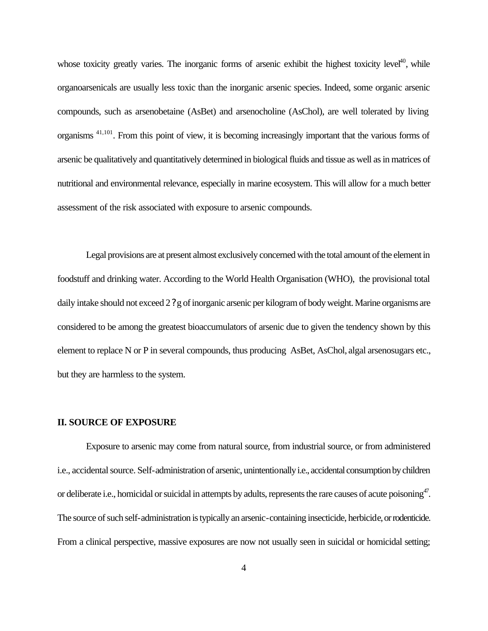whose toxicity greatly varies. The inorganic forms of arsenic exhibit the highest toxicity level<sup>40</sup>, while organoarsenicals are usually less toxic than the inorganic arsenic species. Indeed, some organic arsenic compounds, such as arsenobetaine (AsBet) and arsenocholine (AsChol), are well tolerated by living organisms 41,101. From this point of view, it is becoming increasingly important that the various forms of arsenic be qualitatively and quantitatively determined in biological fluids and tissue as well as in matrices of nutritional and environmental relevance, especially in marine ecosystem. This will allow for a much better assessment of the risk associated with exposure to arsenic compounds.

Legal provisions are at present almost exclusively concerned with the total amount of the element in foodstuff and drinking water. According to the World Health Organisation (WHO), the provisional total daily intake should not exceed 2 ? g of inorganic arsenic per kilogram of body weight. Marine organisms are considered to be among the greatest bioaccumulators of arsenic due to given the tendency shown by this element to replace N or P in several compounds, thus producing AsBet, AsChol, algal arsenosugars etc., but they are harmless to the system.

#### **II. SOURCE OF EXPOSURE**

Exposure to arsenic may come from natural source, from industrial source, or from administered i.e., accidental source. Self-administration of arsenic, unintentionally i.e., accidental consumption by children or deliberate i.e., homicidal or suicidal in attempts by adults, represents the rare causes of acute poisoning $47$ . The source of such self-administration is typically an arsenic-containing insecticide, herbicide, or rodenticide. From a clinical perspective, massive exposures are now not usually seen in suicidal or homicidal setting;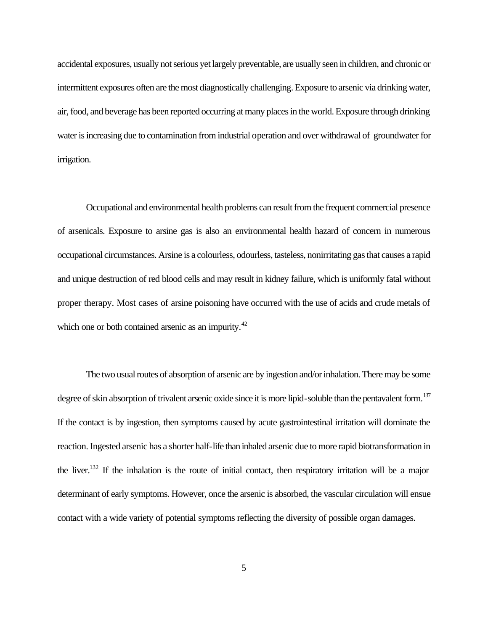accidental exposures, usually not serious yet largely preventable, are usually seen in children, and chronic or intermittent exposures often are the most diagnostically challenging. Exposure to arsenic via drinking water, air, food, and beverage has been reported occurring at many places in the world. Exposure through drinking water is increasing due to contamination from industrial operation and over withdrawal of groundwater for irrigation.

Occupational and environmental health problems can result from the frequent commercial presence of arsenicals. Exposure to arsine gas is also an environmental health hazard of concern in numerous occupational circumstances. Arsine is a colourless, odourless, tasteless, nonirritating gas that causes a rapid and unique destruction of red blood cells and may result in kidney failure, which is uniformly fatal without proper therapy. Most cases of arsine poisoning have occurred with the use of acids and crude metals of which one or both contained arsenic as an impurity.<sup>42</sup>

The two usual routes of absorption of arsenic are by ingestion and/or inhalation. There may be some degree of skin absorption of trivalent arsenic oxide since it is more lipid-soluble than the pentavalent form.<sup>137</sup> If the contact is by ingestion, then symptoms caused by acute gastrointestinal irritation will dominate the reaction. Ingested arsenic has a shorter half-life than inhaled arsenic due to more rapid biotransformation in the liver.<sup>132</sup> If the inhalation is the route of initial contact, then respiratory irritation will be a major determinant of early symptoms. However, once the arsenic is absorbed, the vascular circulation will ensue contact with a wide variety of potential symptoms reflecting the diversity of possible organ damages.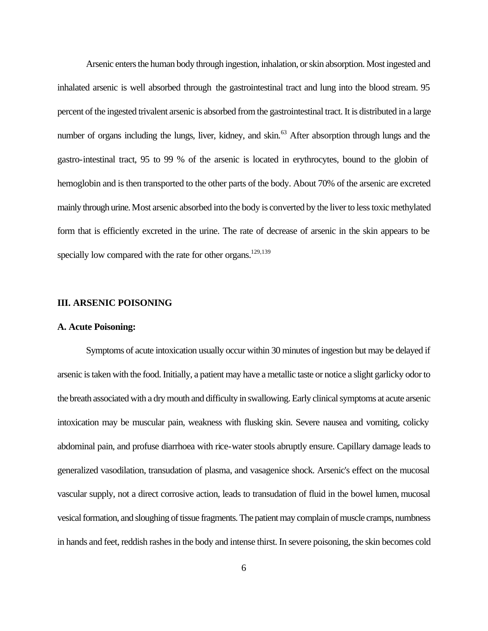Arsenic enters the human body through ingestion, inhalation, or skin absorption. Most ingested and inhalated arsenic is well absorbed through the gastrointestinal tract and lung into the blood stream. 95 percent of the ingested trivalent arsenic is absorbed from the gastrointestinal tract. It is distributed in a large number of organs including the lungs, liver, kidney, and skin.<sup>63</sup> After absorption through lungs and the gastro-intestinal tract, 95 to 99 % of the arsenic is located in erythrocytes, bound to the globin of hemoglobin and is then transported to the other parts of the body. About 70% of the arsenic are excreted mainly through urine. Most arsenic absorbed into the body is converted by the liver to less toxic methylated form that is efficiently excreted in the urine. The rate of decrease of arsenic in the skin appears to be specially low compared with the rate for other organs.<sup>129,139</sup>

#### **III. ARSENIC POISONING**

#### **A. Acute Poisoning:**

Symptoms of acute intoxication usually occur within 30 minutes of ingestion but may be delayed if arsenic is taken with the food. Initially, a patient may have a metallic taste or notice a slight garlicky odor to the breath associated with a dry mouth and difficulty in swallowing. Early clinical symptoms at acute arsenic intoxication may be muscular pain, weakness with flusking skin. Severe nausea and vomiting, colicky abdominal pain, and profuse diarrhoea with rice-water stools abruptly ensure. Capillary damage leads to generalized vasodilation, transudation of plasma, and vasagenice shock. Arsenic's effect on the mucosal vascular supply, not a direct corrosive action, leads to transudation of fluid in the bowel lumen, mucosal vesical formation, and sloughing of tissue fragments. The patient may complain of muscle cramps, numbness in hands and feet, reddish rashes in the body and intense thirst. In severe poisoning, the skin becomes cold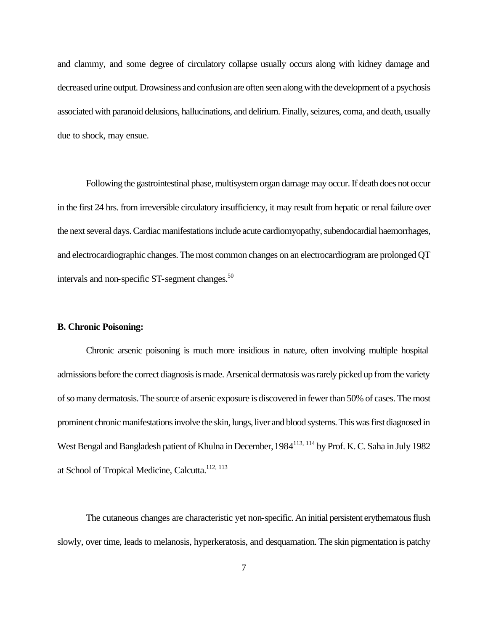and clammy, and some degree of circulatory collapse usually occurs along with kidney damage and decreased urine output. Drowsiness and confusion are often seen along with the development of a psychosis associated with paranoid delusions, hallucinations, and delirium. Finally, seizures, coma, and death, usually due to shock, may ensue.

Following the gastrointestinal phase, multisystem organ damage may occur. If death does not occur in the first 24 hrs. from irreversible circulatory insufficiency, it may result from hepatic or renal failure over the next several days. Cardiac manifestations include acute cardiomyopathy, subendocardial haemorrhages, and electrocardiographic changes. The most common changes on an electrocardiogram are prolonged QT intervals and non-specific ST-segment changes.<sup>50</sup>

#### **B. Chronic Poisoning:**

Chronic arsenic poisoning is much more insidious in nature, often involving multiple hospital admissions before the correct diagnosis is made. Arsenical dermatosis was rarely picked up from the variety of so many dermatosis. The source of arsenic exposure is discovered in fewer than 50% of cases. The most prominent chronic manifestations involve the skin, lungs, liver and blood systems. This was first diagnosed in West Bengal and Bangladesh patient of Khulna in December, 1984<sup>113, 114</sup> by Prof. K. C. Saha in July 1982 at School of Tropical Medicine, Calcutta.<sup>112, 113</sup>

The cutaneous changes are characteristic yet non-specific. An initial persistent erythematous flush slowly, over time, leads to melanosis, hyperkeratosis, and desquamation. The skin pigmentation is patchy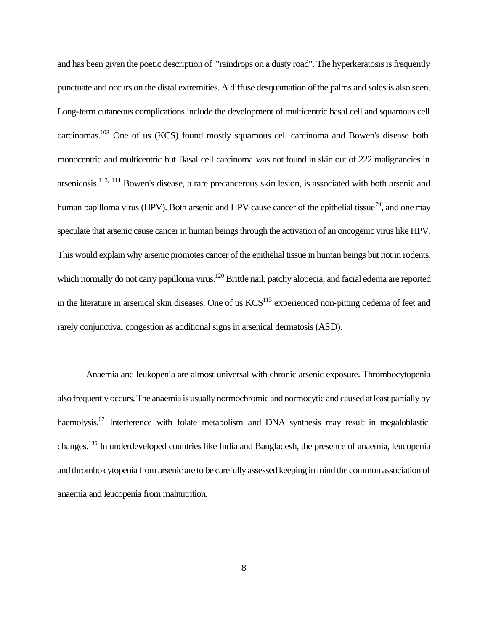and has been given the poetic description of "raindrops on a dusty road". The hyperkeratosis is frequently punctuate and occurs on the distal extremities. A diffuse desquamation of the palms and soles is also seen. Long-term cutaneous complications include the development of multicentric basal cell and squamous cell carcinomas.<sup>103</sup> One of us (KCS) found mostly squamous cell carcinoma and Bowen's disease both monocentric and multicentric but Basal cell carcinoma was not found in skin out of 222 malignancies in arsenicosis.113, 114 Bowen's disease, a rare precancerous skin lesion, is associated with both arsenic and human papilloma virus (HPV). Both arsenic and HPV cause cancer of the epithelial tissue<sup>79</sup>, and one may speculate that arsenic cause cancer in human beings through the activation of an oncogenic virus like HPV. This would explain why arsenic promotes cancer of the epithelial tissue in human beings but not in rodents, which normally do not carry papilloma virus.<sup>120</sup> Brittle nail, patchy alopecia, and facial edema are reported in the literature in arsenical skin diseases. One of us  $KCS<sup>113</sup>$  experienced non-pitting oedema of feet and rarely conjunctival congestion as additional signs in arsenical dermatosis (ASD).

Anaemia and leukopenia are almost universal with chronic arsenic exposure. Thrombocytopenia also frequently occurs. The anaemia is usually normochromic and normocytic and caused at least partially by haemolysis.<sup>67</sup> Interference with folate metabolism and DNA synthesis may result in megaloblastic changes.<sup>135</sup> In underdeveloped countries like India and Bangladesh, the presence of anaemia, leucopenia and thrombo cytopenia from arsenic are to be carefully assessed keeping in mind the common association of anaemia and leucopenia from malnutrition.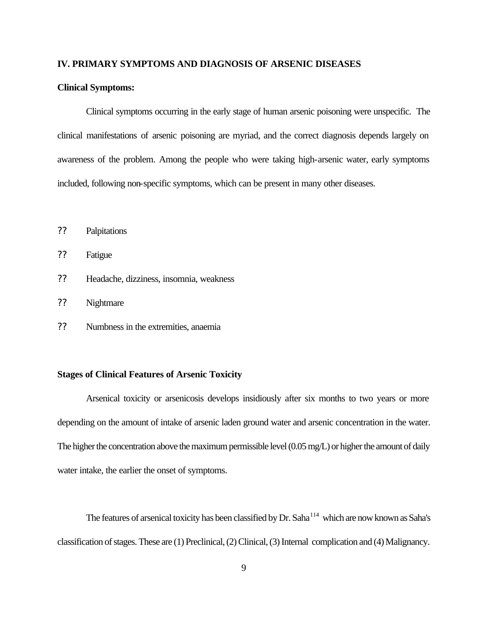#### **IV. PRIMARY SYMPTOMS AND DIAGNOSIS OF ARSENIC DISEASES**

#### **Clinical Symptoms:**

Clinical symptoms occurring in the early stage of human arsenic poisoning were unspecific. The clinical manifestations of arsenic poisoning are myriad, and the correct diagnosis depends largely on awareness of the problem. Among the people who were taking high-arsenic water, early symptoms included, following non-specific symptoms, which can be present in many other diseases.

?? Palpitations

?? Fatigue

- ?? Headache, dizziness, insomnia, weakness
- ?? Nightmare
- ?? Numbness in the extremities, anaemia

#### **Stages of Clinical Features of Arsenic Toxicity**

Arsenical toxicity or arsenicosis develops insidiously after six months to two years or more depending on the amount of intake of arsenic laden ground water and arsenic concentration in the water. The higher the concentration above the maximum permissible level (0.05 mg/L) or higher the amount of daily water intake, the earlier the onset of symptoms.

The features of arsenical toxicity has been classified by Dr. Saha<sup>114</sup> which are now known as Saha's classification of stages. These are (1) Preclinical, (2) Clinical, (3) Internal complication and (4) Malignancy.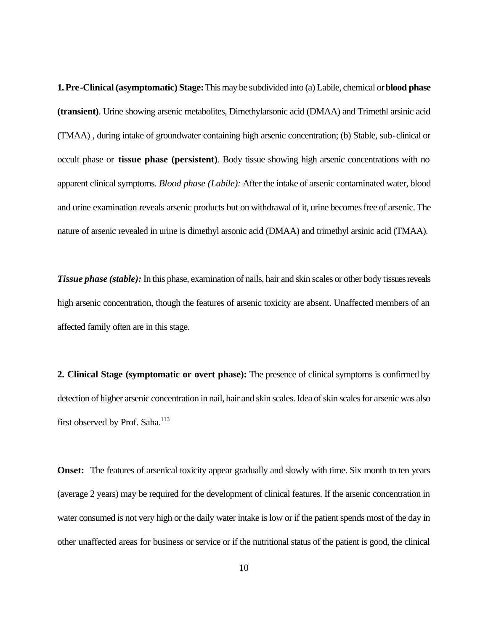**1. Pre-Clinical (asymptomatic) Stage:** This may be subdivided into (a) Labile, chemical or **blood phase (transient)**. Urine showing arsenic metabolites, Dimethylarsonic acid (DMAA) and Trimethl arsinic acid (TMAA) , during intake of groundwater containing high arsenic concentration; (b) Stable, sub-clinical or occult phase or **tissue phase (persistent)**. Body tissue showing high arsenic concentrations with no apparent clinical symptoms. *Blood phase (Labile):* After the intake of arsenic contaminated water, blood and urine examination reveals arsenic products but on withdrawal of it, urine becomes free of arsenic. The nature of arsenic revealed in urine is dimethyl arsonic acid (DMAA) and trimethyl arsinic acid (TMAA).

*Tissue phase (stable):* In this phase, examination of nails, hair and skin scales or other body tissues reveals high arsenic concentration, though the features of arsenic toxicity are absent. Unaffected members of an affected family often are in this stage.

**2. Clinical Stage (symptomatic or overt phase):** The presence of clinical symptoms is confirmed by detection of higher arsenic concentration in nail, hair and skin scales. Idea of skin scales for arsenic was also first observed by Prof. Saha.<sup>113</sup>

**Onset:** The features of arsenical toxicity appear gradually and slowly with time. Six month to ten years (average 2 years) may be required for the development of clinical features. If the arsenic concentration in water consumed is not very high or the daily water intake is low or if the patient spends most of the day in other unaffected areas for business or service or if the nutritional status of the patient is good, the clinical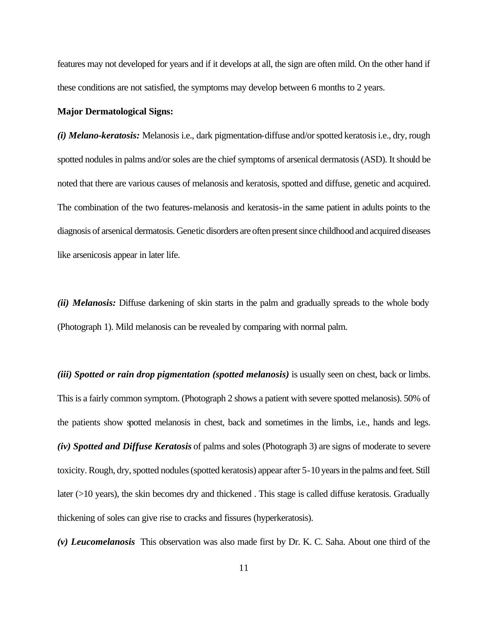features may not developed for years and if it develops at all, the sign are often mild. On the other hand if these conditions are not satisfied, the symptoms may develop between 6 months to 2 years.

#### **Major Dermatological Signs:**

*(i) Melano-keratosis:* Melanosis i.e., dark pigmentation-diffuse and/or spotted keratosis i.e., dry, rough spotted nodules in palms and/or soles are the chief symptoms of arsenical dermatosis (ASD). It should be noted that there are various causes of melanosis and keratosis, spotted and diffuse, genetic and acquired. The combination of the two features-melanosis and keratosis-in the same patient in adults points to the diagnosis of arsenical dermatosis. Genetic disorders are often present since childhood and acquired diseases like arsenicosis appear in later life.

*(ii) Melanosis:* Diffuse darkening of skin starts in the palm and gradually spreads to the whole body (Photograph 1). Mild melanosis can be revealed by comparing with normal palm.

*(iii) Spotted or rain drop pigmentation (spotted melanosis)* is usually seen on chest, back or limbs. This is a fairly common symptom. (Photograph 2 shows a patient with severe spotted melanosis). 50% of the patients show spotted melanosis in chest, back and sometimes in the limbs, i.e., hands and legs. *(iv) Spotted and Diffuse Keratosis* of palms and soles (Photograph 3) are signs of moderate to severe toxicity. Rough, dry, spotted nodules (spotted keratosis) appear after 5-10 years in the palms and feet. Still later (>10 years), the skin becomes dry and thickened. This stage is called diffuse keratosis. Gradually thickening of soles can give rise to cracks and fissures (hyperkeratosis).

*(v) Leucomelanosis* This observation was also made first by Dr. K. C. Saha. About one third of the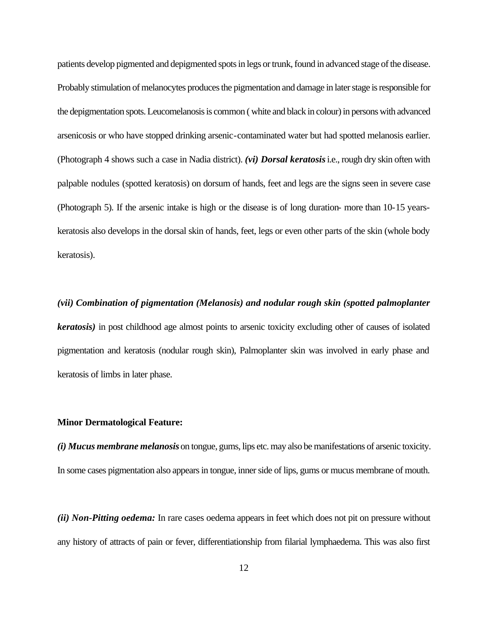patients develop pigmented and depigmented spots in legs or trunk, found in advanced stage of the disease. Probably stimulation of melanocytes produces the pigmentation and damage in later stage is responsible for the depigmentation spots. Leucomelanosis is common ( white and black in colour) in persons with advanced arsenicosis or who have stopped drinking arsenic-contaminated water but had spotted melanosis earlier. (Photograph 4 shows such a case in Nadia district). *(vi) Dorsal keratosis* i.e., rough dry skin often with palpable nodules (spotted keratosis) on dorsum of hands, feet and legs are the signs seen in severe case (Photograph 5). If the arsenic intake is high or the disease is of long duration- more than 10-15 yearskeratosis also develops in the dorsal skin of hands, feet, legs or even other parts of the skin (whole body keratosis).

# *(vii) Combination of pigmentation (Melanosis) and nodular rough skin (spotted palmoplanter keratosis)* in post childhood age almost points to arsenic toxicity excluding other of causes of isolated pigmentation and keratosis (nodular rough skin), Palmoplanter skin was involved in early phase and keratosis of limbs in later phase.

#### **Minor Dermatological Feature:**

*(i) Mucus membrane melanosis* on tongue, gums, lips etc. may also be manifestations of arsenic toxicity. In some cases pigmentation also appears in tongue, inner side of lips, gums or mucus membrane of mouth.

*(ii) Non-Pitting oedema:* In rare cases oedema appears in feet which does not pit on pressure without any history of attracts of pain or fever, differentiationship from filarial lymphaedema. This was also first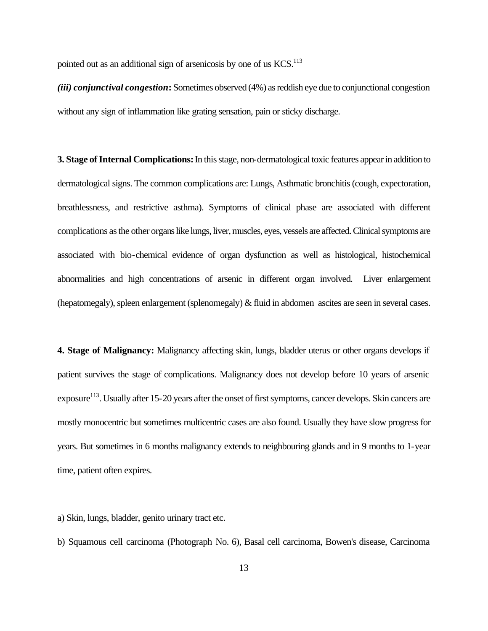pointed out as an additional sign of arsenicosis by one of us KCS.<sup>113</sup>

*(iii) conjunctival congestion***:** Sometimes observed (4%) as reddish eye due to conjunctional congestion without any sign of inflammation like grating sensation, pain or sticky discharge.

**3. Stage of Internal Complications:** In this stage, non-dermatological toxic features appear in addition to dermatological signs. The common complications are: Lungs, Asthmatic bronchitis (cough, expectoration, breathlessness, and restrictive asthma). Symptoms of clinical phase are associated with different complications as the other organs like lungs, liver, muscles, eyes, vessels are affected. Clinical symptoms are associated with bio-chemical evidence of organ dysfunction as well as histological, histochemical abnormalities and high concentrations of arsenic in different organ involved. Liver enlargement (hepatomegaly), spleen enlargement (splenomegaly) & fluid in abdomen ascites are seen in several cases.

**4. Stage of Malignancy:** Malignancy affecting skin, lungs, bladder uterus or other organs develops if patient survives the stage of complications. Malignancy does not develop before 10 years of arsenic exposure<sup>113</sup>. Usually after 15-20 years after the onset of first symptoms, cancer develops. Skin cancers are mostly monocentric but sometimes multicentric cases are also found. Usually they have slow progress for years. But sometimes in 6 months malignancy extends to neighbouring glands and in 9 months to 1-year time, patient often expires.

a) Skin, lungs, bladder, genito urinary tract etc.

b) Squamous cell carcinoma (Photograph No. 6), Basal cell carcinoma, Bowen's disease, Carcinoma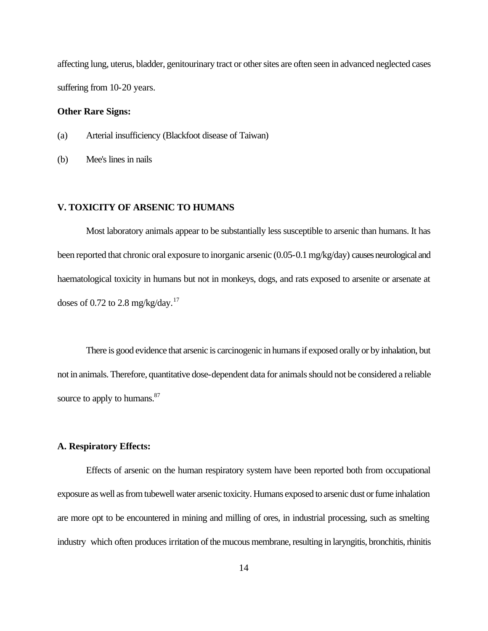affecting lung, uterus, bladder, genitourinary tract or other sites are often seen in advanced neglected cases suffering from 10-20 years.

#### **Other Rare Signs:**

- (a) Arterial insufficiency (Blackfoot disease of Taiwan)
- (b) Mee's lines in nails

#### **V. TOXICITY OF ARSENIC TO HUMANS**

Most laboratory animals appear to be substantially less susceptible to arsenic than humans. It has been reported that chronic oral exposure to inorganic arsenic (0.05-0.1 mg/kg/day) causes neurological and haematological toxicity in humans but not in monkeys, dogs, and rats exposed to arsenite or arsenate at doses of 0.72 to 2.8 mg/kg/day.<sup>17</sup>

There is good evidence that arsenic is carcinogenic in humans if exposed orally or by inhalation, but not in animals. Therefore, quantitative dose-dependent data for animals should not be considered a reliable source to apply to humans.<sup>87</sup>

#### **A. Respiratory Effects:**

Effects of arsenic on the human respiratory system have been reported both from occupational exposure as well as from tubewell water arsenic toxicity. Humans exposed to arsenic dust or fume inhalation are more opt to be encountered in mining and milling of ores, in industrial processing, such as smelting industry which often produces irritation of the mucous membrane, resulting in laryngitis, bronchitis, rhinitis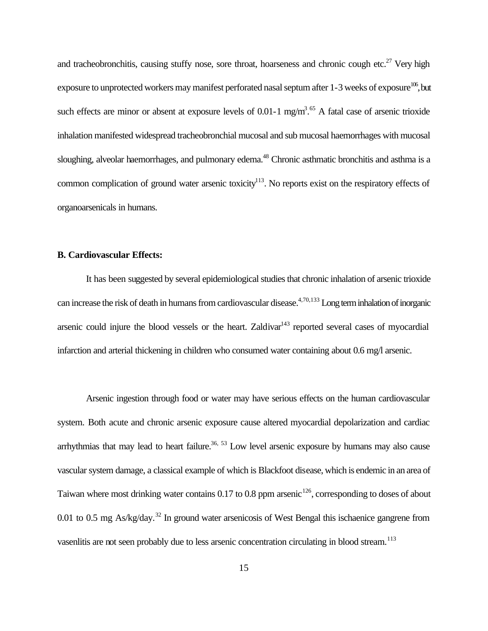and tracheobronchitis, causing stuffy nose, sore throat, hoarseness and chronic cough etc.<sup>27</sup> Very high exposure to unprotected workers may manifest perforated nasal septum after  $1-3$  weeks of exposure<sup>106</sup>, but such effects are minor or absent at exposure levels of 0.01-1 mg/m<sup>3.65</sup> A fatal case of arsenic trioxide inhalation manifested widespread tracheobronchial mucosal and sub mucosal haemorrhages with mucosal sloughing, alveolar haemorrhages, and pulmonary edema.<sup>48</sup> Chronic asthmatic bronchitis and asthma is a common complication of ground water arsenic toxicity<sup>113</sup>. No reports exist on the respiratory effects of organoarsenicals in humans.

#### **B. Cardiovascular Effects:**

It has been suggested by several epidemiological studies that chronic inhalation of arsenic trioxide can increase the risk of death in humans from cardiovascular disease.<sup>4,70,133</sup> Long term inhalation of inorganic arsenic could injure the blood vessels or the heart. Zaldivar $143$  reported several cases of myocardial infarction and arterial thickening in children who consumed water containing about 0.6 mg/l arsenic.

Arsenic ingestion through food or water may have serious effects on the human cardiovascular system. Both acute and chronic arsenic exposure cause altered myocardial depolarization and cardiac arrhythmias that may lead to heart failure.<sup>36, 53</sup> Low level arsenic exposure by humans may also cause vascular system damage, a classical example of which is Blackfoot disease, which is endemic in an area of Taiwan where most drinking water contains  $0.17$  to  $0.8$  ppm arsenic<sup>126</sup>, corresponding to doses of about 0.01 to 0.5 mg As/kg/day.<sup>32</sup> In ground water arsenicosis of West Bengal this ischaenice gangrene from vasenlitis are not seen probably due to less arsenic concentration circulating in blood stream.<sup>113</sup>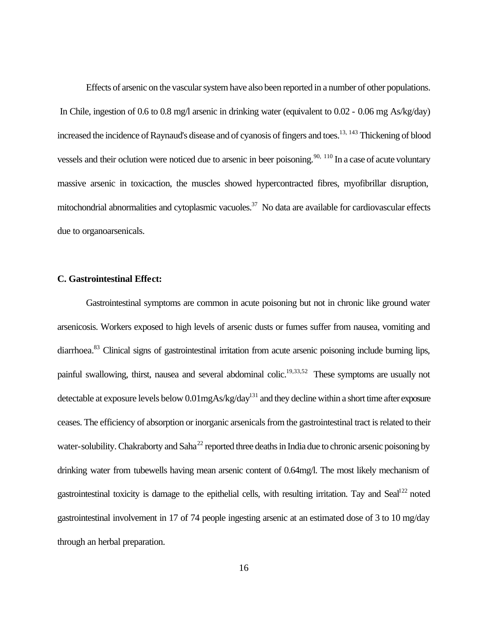Effects of arsenic on the vascular system have also been reported in a number of other populations. In Chile, ingestion of 0.6 to 0.8 mg/l arsenic in drinking water (equivalent to 0.02 - 0.06 mg As/kg/day) increased the incidence of Raynaud's disease and of cyanosis of fingers and toes.<sup>13, 143</sup> Thickening of blood vessels and their oclution were noticed due to arsenic in beer poisoning.<sup>90, 110</sup> In a case of acute voluntary massive arsenic in toxicaction, the muscles showed hypercontracted fibres, myofibrillar disruption, mitochondrial abnormalities and cytoplasmic vacuoles.<sup>37</sup> No data are available for cardiovascular effects due to organoarsenicals.

#### **C. Gastrointestinal Effect:**

Gastrointestinal symptoms are common in acute poisoning but not in chronic like ground water arsenicosis. Workers exposed to high levels of arsenic dusts or fumes suffer from nausea, vomiting and diarrhoea.<sup>83</sup> Clinical signs of gastrointestinal irritation from acute arsenic poisoning include burning lips, painful swallowing, thirst, nausea and several abdominal colic.<sup>19,33,52</sup> These symptoms are usually not detectable at exposure levels below  $0.01$ mgAs/kg/day<sup>131</sup> and they decline within a short time after exposure ceases. The efficiency of absorption or inorganic arsenicals from the gastrointestinal tract is related to their water-solubility. Chakraborty and Saha<sup>22</sup> reported three deaths in India due to chronic arsenic poisoning by drinking water from tubewells having mean arsenic content of 0.64mg/l. The most likely mechanism of gastrointestinal toxicity is damage to the epithelial cells, with resulting irritation. Tay and Seal<sup>122</sup> noted gastrointestinal involvement in 17 of 74 people ingesting arsenic at an estimated dose of 3 to 10 mg/day through an herbal preparation.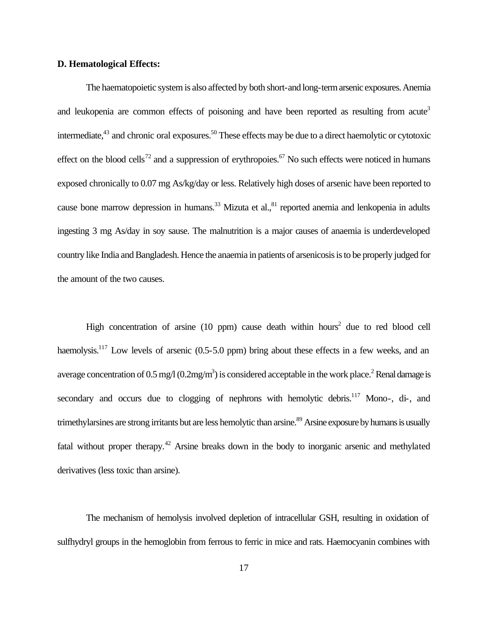#### **D. Hematological Effects:**

The haematopoietic system is also affected by both short-and long-term arsenic exposures. Anemia and leukopenia are common effects of poisoning and have been reported as resulting from acute<sup>3</sup> intermediate,<sup>43</sup> and chronic oral exposures.<sup>50</sup> These effects may be due to a direct haemolytic or cytotoxic effect on the blood cells<sup>72</sup> and a suppression of erythropoies.<sup>67</sup> No such effects were noticed in humans exposed chronically to 0.07 mg As/kg/day or less. Relatively high doses of arsenic have been reported to cause bone marrow depression in humans.<sup>33</sup> Mizuta et al., $81$  reported anemia and lenkopenia in adults ingesting 3 mg As/day in soy sause. The malnutrition is a major causes of anaemia is underdeveloped country like India and Bangladesh. Hence the anaemia in patients of arsenicosis is to be properly judged for the amount of the two causes.

High concentration of arsine  $(10 \text{ ppm})$  cause death within hours<sup>2</sup> due to red blood cell haemolysis.<sup>117</sup> Low levels of arsenic  $(0.5-5.0 \text{ ppm})$  bring about these effects in a few weeks, and an average concentration of 0.5 mg/l  $(0.2$ mg/m<sup>3</sup>) is considered acceptable in the work place.<sup>2</sup> Renal damage is secondary and occurs due to clogging of nephrons with hemolytic debris.<sup>117</sup> Mono-, di-, and trimethylarsines are strong irritants but are less hemolytic than arsine.<sup>89</sup> Arsine exposure by humans is usually fatal without proper therapy.<sup>42</sup> Arsine breaks down in the body to inorganic arsenic and methylated derivatives (less toxic than arsine).

The mechanism of hemolysis involved depletion of intracellular GSH, resulting in oxidation of sulfhydryl groups in the hemoglobin from ferrous to ferric in mice and rats. Haemocyanin combines with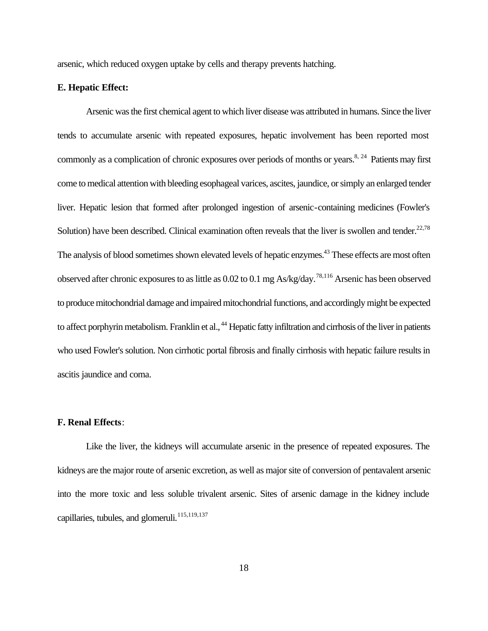arsenic, which reduced oxygen uptake by cells and therapy prevents hatching.

#### **E. Hepatic Effect:**

Arsenic was the first chemical agent to which liver disease was attributed in humans. Since the liver tends to accumulate arsenic with repeated exposures, hepatic involvement has been reported most commonly as a complication of chronic exposures over periods of months or years.<sup>8, 24</sup> Patients may first come to medical attention with bleeding esophageal varices, ascites, jaundice, or simply an enlarged tender liver. Hepatic lesion that formed after prolonged ingestion of arsenic-containing medicines (Fowler's Solution) have been described. Clinical examination often reveals that the liver is swollen and tender. $^{22,78}$ The analysis of blood sometimes shown elevated levels of hepatic enzymes.<sup>43</sup> These effects are most often observed after chronic exposures to as little as 0.02 to 0.1 mg As/kg/day.78,116 Arsenic has been observed to produce mitochondrial damage and impaired mitochondrial functions, and accordingly might be expected to affect porphyrin metabolism. Franklin et al., <sup>44</sup> Hepatic fatty infiltration and cirrhosis of the liver in patients who used Fowler's solution. Non cirrhotic portal fibrosis and finally cirrhosis with hepatic failure results in ascitis jaundice and coma.

#### **F. Renal Effects**:

Like the liver, the kidneys will accumulate arsenic in the presence of repeated exposures. The kidneys are the major route of arsenic excretion, as well as major site of conversion of pentavalent arsenic into the more toxic and less soluble trivalent arsenic. Sites of arsenic damage in the kidney include capillaries, tubules, and glomeruli.<sup>115,119,137</sup>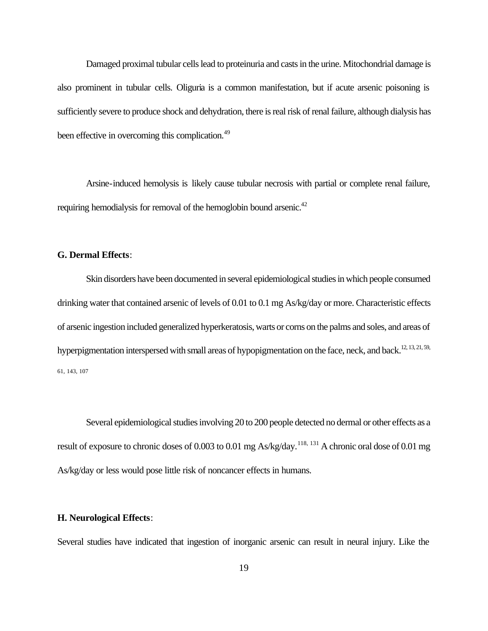Damaged proximal tubular cells lead to proteinuria and casts in the urine. Mitochondrial damage is also prominent in tubular cells. Oliguria is a common manifestation, but if acute arsenic poisoning is sufficiently severe to produce shock and dehydration, there is real risk of renal failure, although dialysis has been effective in overcoming this complication.<sup>49</sup>

Arsine-induced hemolysis is likely cause tubular necrosis with partial or complete renal failure, requiring hemodialysis for removal of the hemoglobin bound arsenic.<sup>42</sup>

#### **G. Dermal Effects**:

Skin disorders have been documented in several epidemiological studies in which people consumed drinking water that contained arsenic of levels of 0.01 to 0.1 mg As/kg/day or more. Characteristic effects of arsenic ingestion included generalized hyperkeratosis, warts or corns on the palms and soles, and areas of hyperpigmentation interspersed with small areas of hypopigmentation on the face, neck, and back.<sup>12, 13, 21, 59,</sup> 61, 143, 107

Several epidemiological studies involving 20 to 200 people detected no dermal or other effects as a result of exposure to chronic doses of 0.003 to 0.01 mg As/kg/day.<sup>118, 131</sup> A chronic oral dose of 0.01 mg As/kg/day or less would pose little risk of noncancer effects in humans.

#### **H. Neurological Effects**:

Several studies have indicated that ingestion of inorganic arsenic can result in neural injury. Like the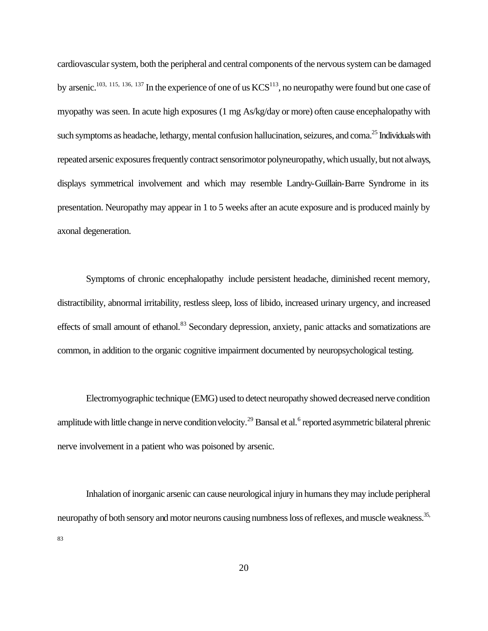cardiovascular system, both the peripheral and central components of the nervous system can be damaged by arsenic.<sup>103, 115, 136, 137</sup> In the experience of one of us  $KCS<sup>113</sup>$ , no neuropathy were found but one case of myopathy was seen. In acute high exposures (1 mg As/kg/day or more) often cause encephalopathy with such symptoms as headache, lethargy, mental confusion hallucination, seizures, and coma.<sup>25</sup> Individuals with repeated arsenic exposures frequently contract sensorimotor polyneuropathy, which usually, but not always, displays symmetrical involvement and which may resemble Landry-Guillain-Barre Syndrome in its presentation. Neuropathy may appear in 1 to 5 weeks after an acute exposure and is produced mainly by axonal degeneration.

Symptoms of chronic encephalopathy include persistent headache, diminished recent memory, distractibility, abnormal irritability, restless sleep, loss of libido, increased urinary urgency, and increased effects of small amount of ethanol.<sup>83</sup> Secondary depression, anxiety, panic attacks and somatizations are common, in addition to the organic cognitive impairment documented by neuropsychological testing.

Electromyographic technique (EMG) used to detect neuropathy showed decreased nerve condition amplitude with little change in nerve condition velocity.<sup>29</sup> Bansal et al.<sup>6</sup> reported asymmetric bilateral phrenic nerve involvement in a patient who was poisoned by arsenic.

Inhalation of inorganic arsenic can cause neurological injury in humans they may include peripheral neuropathy of both sensory and motor neurons causing numbness loss of reflexes, and muscle weakness.<sup>35,</sup> 83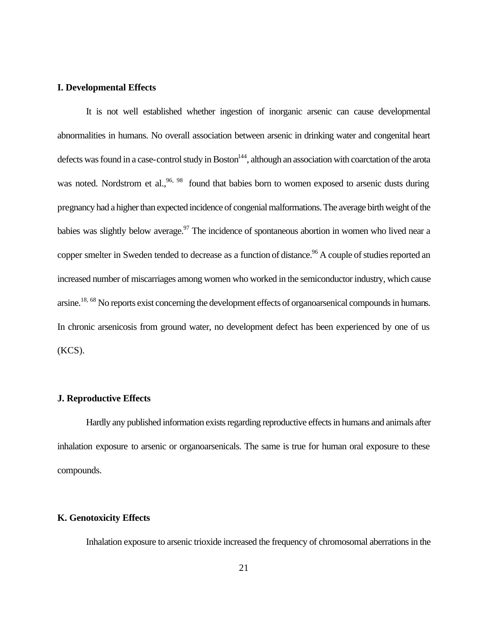#### **I. Developmental Effects**

It is not well established whether ingestion of inorganic arsenic can cause developmental abnormalities in humans. No overall association between arsenic in drinking water and congenital heart defects was found in a case-control study in Boston<sup>144</sup>, although an association with coarctation of the arota was noted. Nordstrom et al.,  $96, 98$  found that babies born to women exposed to arsenic dusts during pregnancy had a higher than expected incidence of congenial malformations. The average birth weight of the babies was slightly below average.<sup>97</sup> The incidence of spontaneous abortion in women who lived near a copper smelter in Sweden tended to decrease as a function of distance.<sup>96</sup> A couple of studies reported an increased number of miscarriages among women who worked in the semiconductor industry, which cause arsine.18, 68 No reports exist concerning the development effects of organoarsenical compounds in humans. In chronic arsenicosis from ground water, no development defect has been experienced by one of us (KCS).

#### **J. Reproductive Effects**

Hardly any published information exists regarding reproductive effects in humans and animals after inhalation exposure to arsenic or organoarsenicals. The same is true for human oral exposure to these compounds.

#### **K. Genotoxicity Effects**

Inhalation exposure to arsenic trioxide increased the frequency of chromosomal aberrations in the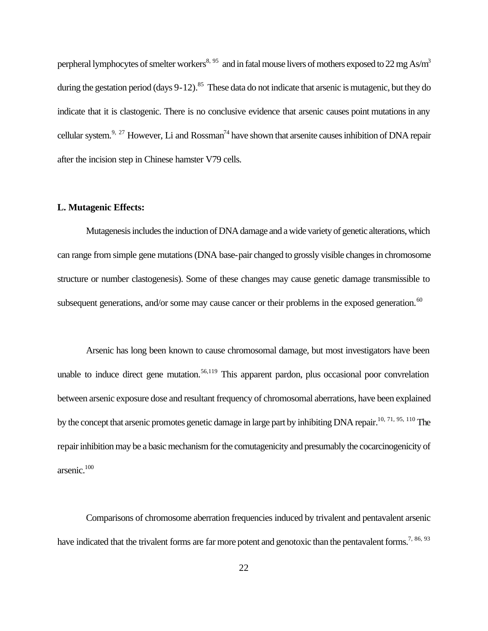perpheral lymphocytes of smelter workers<sup>8, 95</sup> and in fatal mouse livers of mothers exposed to 22 mg As/m<sup>3</sup> during the gestation period (days  $9-12$ ).<sup>85</sup> These data do not indicate that arsenic is mutagenic, but they do indicate that it is clastogenic. There is no conclusive evidence that arsenic causes point mutations in any cellular system.<sup>9, 27</sup> However, Li and Rossman<sup>74</sup> have shown that arsenite causes inhibition of DNA repair after the incision step in Chinese hamster V79 cells.

#### **L. Mutagenic Effects:**

Mutagenesis includes the induction of DNA damage and a wide variety of genetic alterations, which can range from simple gene mutations (DNA base-pair changed to grossly visible changes in chromosome structure or number clastogenesis). Some of these changes may cause genetic damage transmissible to subsequent generations, and/or some may cause cancer or their problems in the exposed generation.<sup>60</sup>

Arsenic has long been known to cause chromosomal damage, but most investigators have been unable to induce direct gene mutation.<sup>56,119</sup> This apparent pardon, plus occasional poor convrelation between arsenic exposure dose and resultant frequency of chromosomal aberrations, have been explained by the concept that arsenic promotes genetic damage in large part by inhibiting DNA repair.10, 71, 95, 110 The repair inhibition may be a basic mechanism for the comutagenicity and presumably the cocarcinogenicity of arsenic.<sup>100</sup>

Comparisons of chromosome aberration frequencies induced by trivalent and pentavalent arsenic have indicated that the trivalent forms are far more potent and genotoxic than the pentavalent forms.<sup>7, 86, 93</sup>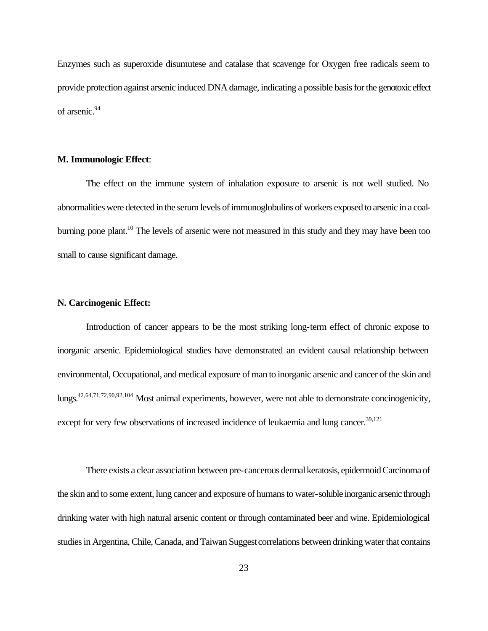Enzymes such as superoxide disumutese and catalase that scavenge for Oxygen free radicals seem to provide protection against arsenic induced DNA damage, indicating a possible basis for the genotoxic effect of arsenic.<sup>94</sup>

#### **M. Immunologic Effect**:

The effect on the immune system of inhalation exposure to arsenic is not well studied. No abnormalities were detected in the serum levels of immunoglobulins of workers exposed to arsenic in a coalburning pone plant.<sup>10</sup> The levels of arsenic were not measured in this study and they may have been too small to cause significant damage.

#### **N. Carcinogenic Effect:**

Introduction of cancer appears to be the most striking long-term effect of chronic expose to inorganic arsenic. Epidemiological studies have demonstrated an evident causal relationship between environmental, Occupational, and medical exposure of man to inorganic arsenic and cancer of the skin and lungs.42,64,71,72,90,92,104 Most animal experiments, however, were not able to demonstrate concinogenicity, except for very few observations of increased incidence of leukaemia and lung cancer.<sup>39,121</sup>

There exists a clear association between pre-cancerous dermal keratosis, epidermoid Carcinoma of the skin and to some extent, lung cancer and exposure of humans to water-soluble inorganic arsenic through drinking water with high natural arsenic content or through contaminated beer and wine. Epidemiological studies in Argentina, Chile, Canada, and Taiwan Suggest correlations between drinking water that contains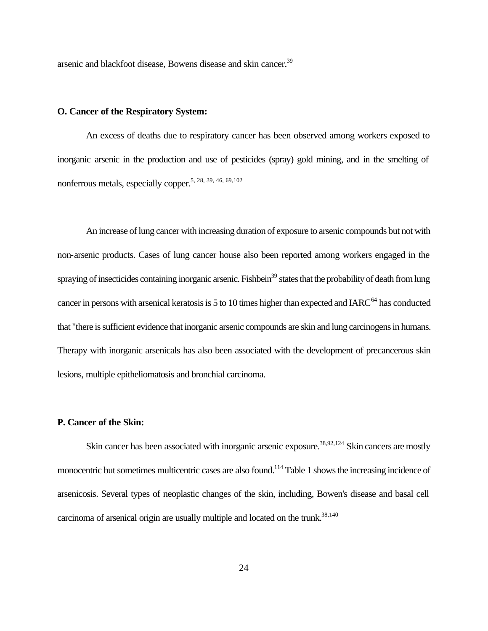arsenic and blackfoot disease, Bowens disease and skin cancer.<sup>39</sup>

#### **O. Cancer of the Respiratory System:**

An excess of deaths due to respiratory cancer has been observed among workers exposed to inorganic arsenic in the production and use of pesticides (spray) gold mining, and in the smelting of nonferrous metals, especially copper.5, 28, 39, 46, 69,102

An increase of lung cancer with increasing duration of exposure to arsenic compounds but not with non-arsenic products. Cases of lung cancer house also been reported among workers engaged in the spraying of insecticides containing inorganic arsenic. Fishbein<sup>39</sup> states that the probability of death from lung cancer in persons with arsenical keratosis is  $5$  to 10 times higher than expected and IARC $^{64}$  has conducted that "there is sufficient evidence that inorganic arsenic compounds are skin and lung carcinogens in humans. Therapy with inorganic arsenicals has also been associated with the development of precancerous skin lesions, multiple epitheliomatosis and bronchial carcinoma.

#### **P. Cancer of the Skin:**

Skin cancer has been associated with inorganic arsenic exposure.<sup>38,92,124</sup> Skin cancers are mostly monocentric but sometimes multicentric cases are also found.<sup>114</sup> Table 1 shows the increasing incidence of arsenicosis. Several types of neoplastic changes of the skin, including, Bowen's disease and basal cell carcinoma of arsenical origin are usually multiple and located on the trunk. $38,140$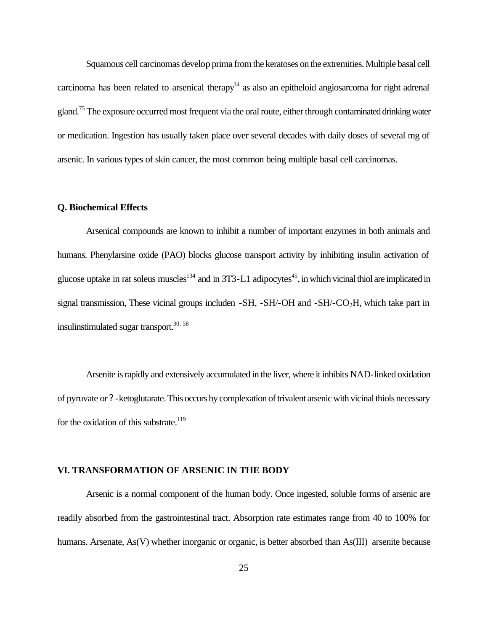Squamous cell carcinomas develop prima from the keratoses on the extremities. Multiple basal cell carcinoma has been related to arsenical therapy<sup>34</sup> as also an epitheloid angiosarcoma for right adrenal gland.<sup>75</sup> The exposure occurred most frequent via the oral route, either through contaminated drinking water or medication. Ingestion has usually taken place over several decades with daily doses of several mg of arsenic. In various types of skin cancer, the most common being multiple basal cell carcinomas.

#### **Q. Biochemical Effects**

Arsenical compounds are known to inhibit a number of important enzymes in both animals and humans. Phenylarsine oxide (PAO) blocks glucose transport activity by inhibiting insulin activation of glucose uptake in rat soleus muscles<sup>134</sup> and in 3T3-L1 adipocytes<sup>45</sup>, in which vicinal thiol are implicated in signal transmission, These vicinal groups includen  $-SH$ ,  $-SH$ -OH and  $-SH$ -CO<sub>2</sub>H, which take part in insulinstimulated sugar transport. $30, 58$ 

Arsenite is rapidly and extensively accumulated in the liver, where it inhibits NAD-linked oxidation of pyruvate or ? -ketoglutarate. This occurs by complexation of trivalent arsenic with vicinal thiols necessary for the oxidation of this substrate.<sup>119</sup>

#### **VI. TRANSFORMATION OF ARSENIC IN THE BODY**

Arsenic is a normal component of the human body. Once ingested, soluble forms of arsenic are readily absorbed from the gastrointestinal tract. Absorption rate estimates range from 40 to 100% for humans. Arsenate, As(V) whether inorganic or organic, is better absorbed than As(III) arsenite because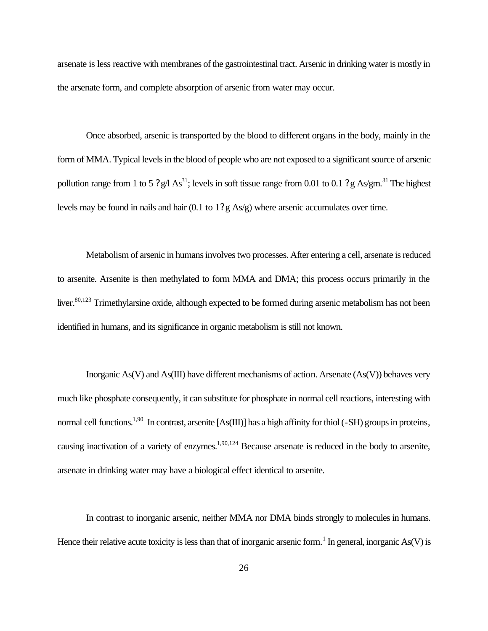arsenate is less reactive with membranes of the gastrointestinal tract. Arsenic in drinking water is mostly in the arsenate form, and complete absorption of arsenic from water may occur.

Once absorbed, arsenic is transported by the blood to different organs in the body, mainly in the form of MMA. Typical levels in the blood of people who are not exposed to a significant source of arsenic pollution range from 1 to 5 ?g/l As<sup>31</sup>; levels in soft tissue range from 0.01 to 0.1 ?g As/gm.<sup>31</sup> The highest levels may be found in nails and hair (0.1 to 1?g As/g) where arsenic accumulates over time.

Metabolism of arsenic in humans involves two processes. After entering a cell, arsenate is reduced to arsenite. Arsenite is then methylated to form MMA and DMA; this process occurs primarily in the liver.<sup>80,123</sup> Trimethylarsine oxide, although expected to be formed during arsenic metabolism has not been identified in humans, and its significance in organic metabolism is still not known.

Inorganic As(V) and As(III) have different mechanisms of action. Arsenate (As(V)) behaves very much like phosphate consequently, it can substitute for phosphate in normal cell reactions, interesting with normal cell functions.<sup>1,90</sup> In contrast, arsenite [As(III)] has a high affinity for thiol (-SH) groups in proteins, causing inactivation of a variety of enzymes.<sup>1,90,124</sup> Because arsenate is reduced in the body to arsenite, arsenate in drinking water may have a biological effect identical to arsenite.

In contrast to inorganic arsenic, neither MMA nor DMA binds strongly to molecules in humans. Hence their relative acute toxicity is less than that of inorganic arsenic form.<sup>1</sup> In general, inorganic As(V) is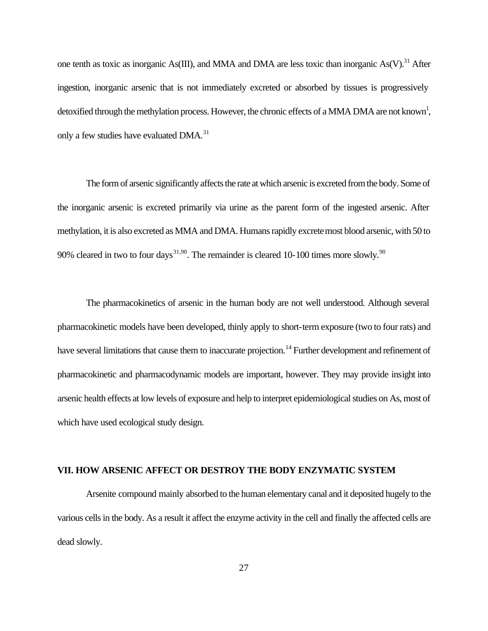one tenth as toxic as inorganic As(III), and MMA and DMA are less toxic than inorganic As(V).<sup>31</sup> After ingestion, inorganic arsenic that is not immediately excreted or absorbed by tissues is progressively detoxified through the methylation process. However, the chronic effects of a MMA DMA are not known<sup>1</sup>, only a few studies have evaluated DMA.<sup>31</sup>

The form of arsenic significantly affects the rate at which arsenic is excreted from the body. Some of the inorganic arsenic is excreted primarily via urine as the parent form of the ingested arsenic. After methylation, it is also excreted as MMA and DMA. Humans rapidly excrete most blood arsenic, with 50 to 90% cleared in two to four days<sup>31,90</sup>. The remainder is cleared 10-100 times more slowly.<sup>90</sup>

The pharmacokinetics of arsenic in the human body are not well understood. Although several pharmacokinetic models have been developed, thinly apply to short-term exposure (two to four rats) and have several limitations that cause them to inaccurate projection.<sup>14</sup> Further development and refinement of pharmacokinetic and pharmacodynamic models are important, however. They may provide insight into arsenic health effects at low levels of exposure and help to interpret epidemiological studies on As, most of which have used ecological study design.

#### **VII. HOW ARSENIC AFFECT OR DESTROY THE BODY ENZYMATIC SYSTEM**

Arsenite compound mainly absorbed to the human elementary canal and it deposited hugely to the various cells in the body. As a result it affect the enzyme activity in the cell and finally the affected cells are dead slowly.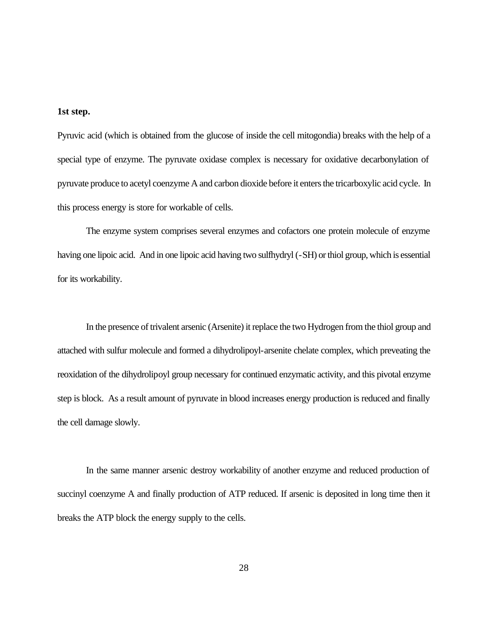#### **1st step.**

Pyruvic acid (which is obtained from the glucose of inside the cell mitogondia) breaks with the help of a special type of enzyme. The pyruvate oxidase complex is necessary for oxidative decarbonylation of pyruvate produce to acetyl coenzyme A and carbon dioxide before it enters the tricarboxylic acid cycle. In this process energy is store for workable of cells.

The enzyme system comprises several enzymes and cofactors one protein molecule of enzyme having one lipoic acid. And in one lipoic acid having two sulfhydryl (-SH) or thiol group, which is essential for its workability.

In the presence of trivalent arsenic (Arsenite) it replace the two Hydrogen from the thiol group and attached with sulfur molecule and formed a dihydrolipoyl-arsenite chelate complex, which preveating the reoxidation of the dihydrolipoyl group necessary for continued enzymatic activity, and this pivotal enzyme step is block. As a result amount of pyruvate in blood increases energy production is reduced and finally the cell damage slowly.

In the same manner arsenic destroy workability of another enzyme and reduced production of succinyl coenzyme A and finally production of ATP reduced. If arsenic is deposited in long time then it breaks the ATP block the energy supply to the cells.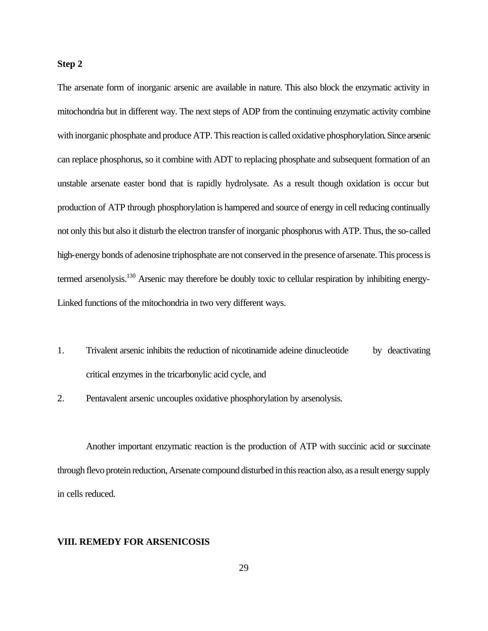#### **Step 2**

The arsenate form of inorganic arsenic are available in nature. This also block the enzymatic activity in mitochondria but in different way. The next steps of ADP from the continuing enzymatic activity combine with inorganic phosphate and produce ATP. This reaction is called oxidative phosphorylation. Since arsenic can replace phosphorus, so it combine with ADT to replacing phosphate and subsequent formation of an unstable arsenate easter bond that is rapidly hydrolysate. As a result though oxidation is occur but production of ATP through phosphorylation is hampered and source of energy in cell reducing continually not only this but also it disturb the electron transfer of inorganic phosphorus with ATP. Thus, the so-called high-energy bonds of adenosine triphosphate are not conserved in the presence of arsenate. This process is termed arsenolysis.<sup>130</sup> Arsenic may therefore be doubly toxic to cellular respiration by inhibiting energy-Linked functions of the mitochondria in two very different ways.

- 1. Trivalent arsenic inhibits the reduction of nicotinamide adeine dinucleotide by deactivating critical enzymes in the tricarbonylic acid cycle, and
- 2. Pentavalent arsenic uncouples oxidative phosphorylation by arsenolysis.

Another important enzymatic reaction is the production of ATP with succinic acid or succinate through flevo protein reduction, Arsenate compound disturbed in this reaction also, as a result energy supply in cells reduced.

#### **VIII. REMEDY FOR ARSENICOSIS**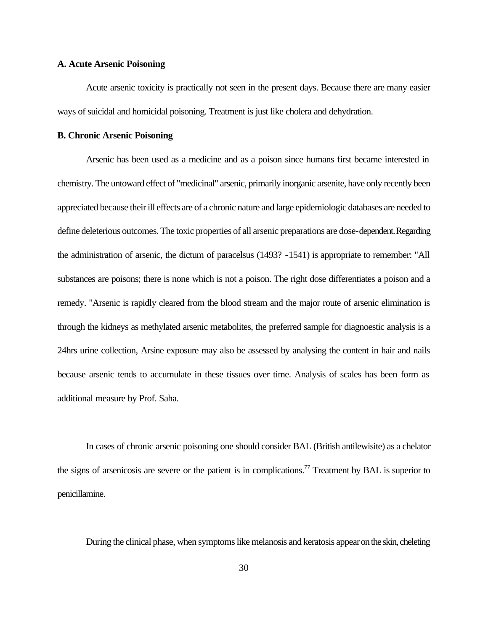#### **A. Acute Arsenic Poisoning**

Acute arsenic toxicity is practically not seen in the present days. Because there are many easier ways of suicidal and homicidal poisoning. Treatment is just like cholera and dehydration.

#### **B. Chronic Arsenic Poisoning**

Arsenic has been used as a medicine and as a poison since humans first became interested in chemistry. The untoward effect of "medicinal" arsenic, primarily inorganic arsenite, have only recently been appreciated because their ill effects are of a chronic nature and large epidemiologic databases are needed to define deleterious outcomes. The toxic properties of all arsenic preparations are dose-dependent. Regarding the administration of arsenic, the dictum of paracelsus (1493? -1541) is appropriate to remember: "All substances are poisons; there is none which is not a poison. The right dose differentiates a poison and a remedy. "Arsenic is rapidly cleared from the blood stream and the major route of arsenic elimination is through the kidneys as methylated arsenic metabolites, the preferred sample for diagnoestic analysis is a 24hrs urine collection, Arsine exposure may also be assessed by analysing the content in hair and nails because arsenic tends to accumulate in these tissues over time. Analysis of scales has been form as additional measure by Prof. Saha.

In cases of chronic arsenic poisoning one should consider BAL (British antilewisite) as a chelator the signs of arsenicosis are severe or the patient is in complications.<sup>77</sup> Treatment by BAL is superior to penicillamine.

During the clinical phase, when symptoms like melanosis and keratosis appear on the skin, cheleting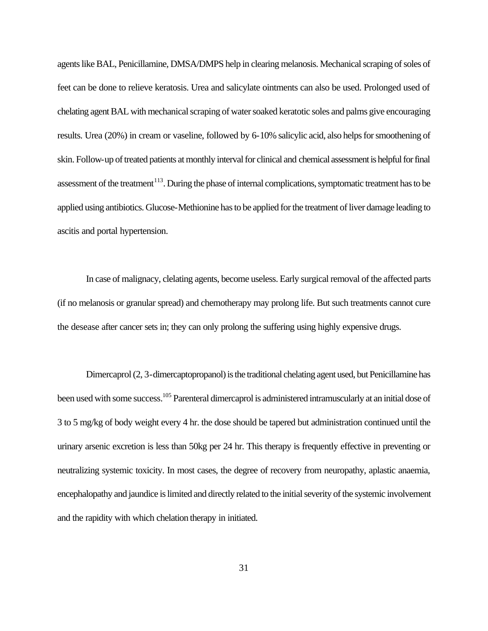agents like BAL, Penicillamine, DMSA/DMPS help in clearing melanosis. Mechanical scraping of soles of feet can be done to relieve keratosis. Urea and salicylate ointments can also be used. Prolonged used of chelating agent BAL with mechanical scraping of water soaked keratotic soles and palms give encouraging results. Urea (20%) in cream or vaseline, followed by 6-10% salicylic acid, also helps for smoothening of skin. Follow-up of treated patients at monthly interval for clinical and chemical assessment is helpful for final assessment of the treatment<sup>113</sup>. During the phase of internal complications, symptomatic treatment has to be applied using antibiotics. Glucose-Methionine has to be applied for the treatment of liver damage leading to ascitis and portal hypertension.

In case of malignacy, clelating agents, become useless. Early surgical removal of the affected parts (if no melanosis or granular spread) and chemotherapy may prolong life. But such treatments cannot cure the desease after cancer sets in; they can only prolong the suffering using highly expensive drugs.

Dimercaprol (2, 3-dimercaptopropanol) is the traditional chelating agent used, but Penicillamine has been used with some success.<sup>105</sup> Parenteral dimercaprol is administered intramuscularly at an initial dose of 3 to 5 mg/kg of body weight every 4 hr. the dose should be tapered but administration continued until the urinary arsenic excretion is less than 50kg per 24 hr. This therapy is frequently effective in preventing or neutralizing systemic toxicity. In most cases, the degree of recovery from neuropathy, aplastic anaemia, encephalopathy and jaundice is limited and directly related to the initial severity of the systemic involvement and the rapidity with which chelation therapy in initiated.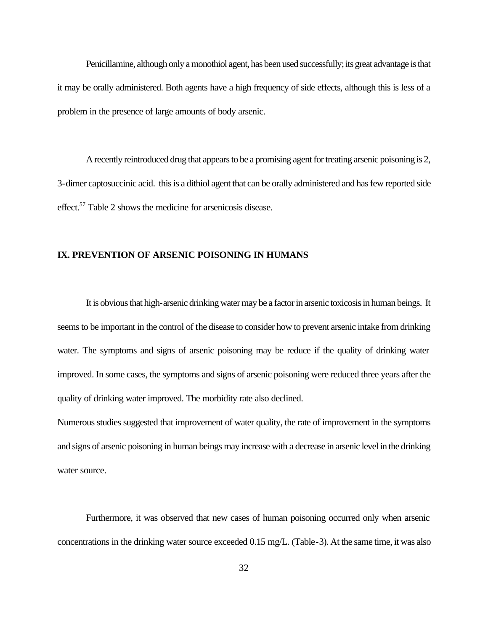Penicillamine, although only a monothiol agent, has been used successfully; its great advantage is that it may be orally administered. Both agents have a high frequency of side effects, although this is less of a problem in the presence of large amounts of body arsenic.

A recently reintroduced drug that appears to be a promising agent for treating arsenic poisoning is 2, 3-dimer captosuccinic acid. this is a dithiol agent that can be orally administered and has few reported side effect.<sup>57</sup> Table 2 shows the medicine for arsenicosis disease.

#### **IX. PREVENTION OF ARSENIC POISONING IN HUMANS**

It is obvious that high-arsenic drinking water may be a factor in arsenic toxicosis in human beings. It seems to be important in the control of the disease to consider how to prevent arsenic intake from drinking water. The symptoms and signs of arsenic poisoning may be reduce if the quality of drinking water improved. In some cases, the symptoms and signs of arsenic poisoning were reduced three years after the quality of drinking water improved. The morbidity rate also declined.

Numerous studies suggested that improvement of water quality, the rate of improvement in the symptoms and signs of arsenic poisoning in human beings may increase with a decrease in arsenic level in the drinking water source.

Furthermore, it was observed that new cases of human poisoning occurred only when arsenic concentrations in the drinking water source exceeded 0.15 mg/L. (Table-3). At the same time, it was also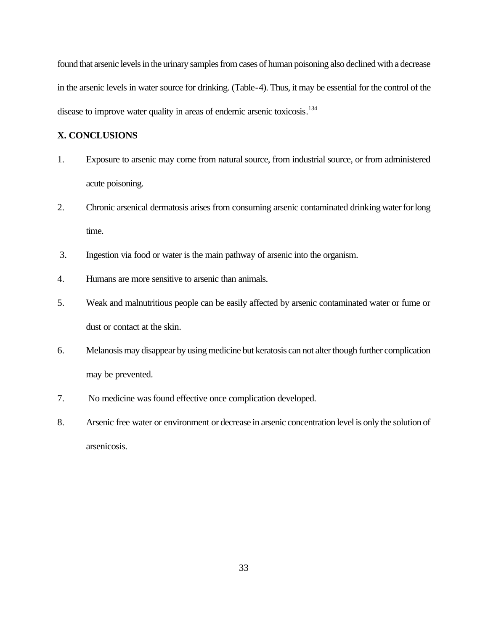found that arsenic levels in the urinary samples from cases of human poisoning also declined with a decrease in the arsenic levels in water source for drinking. (Table-4). Thus, it may be essential for the control of the disease to improve water quality in areas of endemic arsenic toxicosis.<sup>134</sup>

#### **X. CONCLUSIONS**

- 1. Exposure to arsenic may come from natural source, from industrial source, or from administered acute poisoning.
- 2. Chronic arsenical dermatosis arises from consuming arsenic contaminated drinking water for long time.
- 3. Ingestion via food or water is the main pathway of arsenic into the organism.
- 4. Humans are more sensitive to arsenic than animals.
- 5. Weak and malnutritious people can be easily affected by arsenic contaminated water or fume or dust or contact at the skin.
- 6. Melanosis may disappear by using medicine but keratosis can not alter though further complication may be prevented.
- 7. No medicine was found effective once complication developed.
- 8. Arsenic free water or environment or decrease in arsenic concentration level is only the solution of arsenicosis.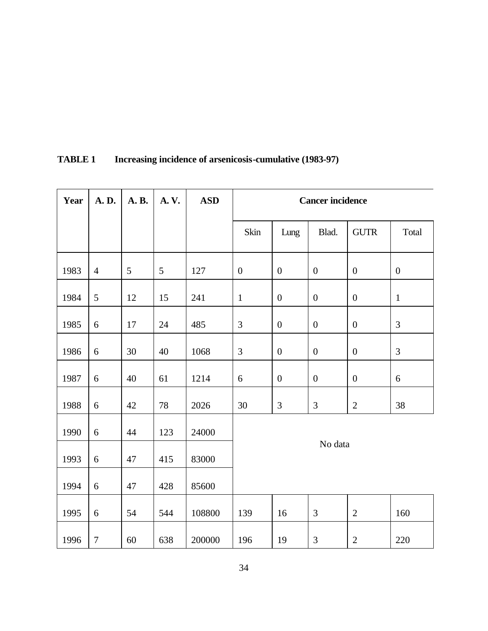| Year | A.D.           | A. B. | A.V. | <b>ASD</b> | <b>Cancer incidence</b> |                  |                  |                  |                  |
|------|----------------|-------|------|------------|-------------------------|------------------|------------------|------------------|------------------|
|      |                |       |      |            | Skin                    | Lung             | Blad.            | <b>GUTR</b>      | Total            |
| 1983 | $\overline{4}$ | 5     | 5    | 127        | $\boldsymbol{0}$        | $\boldsymbol{0}$ | $\boldsymbol{0}$ | $\boldsymbol{0}$ | $\boldsymbol{0}$ |
| 1984 | 5              | 12    | 15   | 241        | $1\,$                   | $\boldsymbol{0}$ | $\boldsymbol{0}$ | $\boldsymbol{0}$ | $\mathbf{1}$     |
| 1985 | $6\,$          | 17    | 24   | 485        | 3                       | $\boldsymbol{0}$ | $\boldsymbol{0}$ | $\boldsymbol{0}$ | 3                |
| 1986 | 6              | 30    | 40   | 1068       | $\mathfrak{Z}$          | $\boldsymbol{0}$ | $\boldsymbol{0}$ | $\mathbf{0}$     | $\mathfrak{Z}$   |
| 1987 | 6              | 40    | 61   | 1214       | $6\,$                   | $\boldsymbol{0}$ | $\boldsymbol{0}$ | $\boldsymbol{0}$ | 6                |
| 1988 | 6              | 42    | 78   | 2026       | 30                      | $\mathfrak{Z}$   | 3                | $\overline{2}$   | 38               |
| 1990 | 6              | 44    | 123  | 24000      |                         |                  |                  |                  |                  |
| 1993 | $6\,$          | 47    | 415  | 83000      |                         |                  | No data          |                  |                  |
| 1994 | 6              | 47    | 428  | 85600      |                         |                  |                  |                  |                  |
| 1995 | 6              | 54    | 544  | 108800     | 139                     | 16               | $\mathfrak{Z}$   | $\mathbf{2}$     | 160              |
| 1996 | $\tau$         | 60    | 638  | 200000     | 196                     | 19               | 3                | $\overline{2}$   | 220              |

# **TABLE 1 Increasing incidence of arsenicosis-cumulative (1983-97)**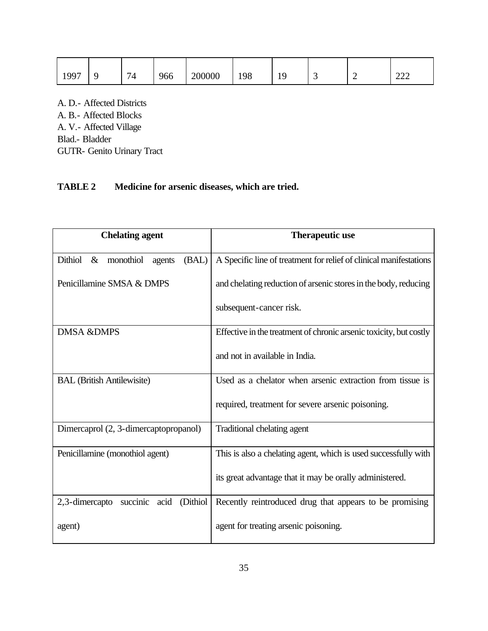| 1007 | 74 | 966 | 200000 | 198 | 10<br>. . | $\overline{\phantom{0}}$ | $\Omega$<br>∸∸∸ |
|------|----|-----|--------|-----|-----------|--------------------------|-----------------|

A. D.- Affected Districts

A. B.- Affected Blocks A. V.- Affected Village

Blad.- Bladder

GUTR- Genito Urinary Tract

## **TABLE 2 Medicine for arsenic diseases, which are tried.**

| <b>Chelating agent</b>                          | <b>Therapeutic use</b>                                             |  |  |
|-------------------------------------------------|--------------------------------------------------------------------|--|--|
| Dithiol<br>monothiol<br>(BAL)<br>$\&$<br>agents | A Specific line of treatment for relief of clinical manifestations |  |  |
| Penicillamine SMSA & DMPS                       | and chelating reduction of arsenic stores in the body, reducing    |  |  |
|                                                 | subsequent-cancer risk.                                            |  |  |
| <b>DMSA &amp;DMPS</b>                           | Effective in the treatment of chronic arsenic toxicity, but costly |  |  |
|                                                 | and not in available in India.                                     |  |  |
| <b>BAL</b> (British Antilewisite)               | Used as a chelator when arsenic extraction from tissue is          |  |  |
|                                                 | required, treatment for severe arsenic poisoning.                  |  |  |
| Dimercaprol (2, 3-dimercaptopropanol)           | Traditional chelating agent                                        |  |  |
| Penicillamine (monothiol agent)                 | This is also a chelating agent, which is used successfully with    |  |  |
|                                                 | its great advantage that it may be orally administered.            |  |  |
| 2,3-dimercapto succinic acid (Dithiol           | Recently reintroduced drug that appears to be promising            |  |  |
| agent)                                          | agent for treating arsenic poisoning.                              |  |  |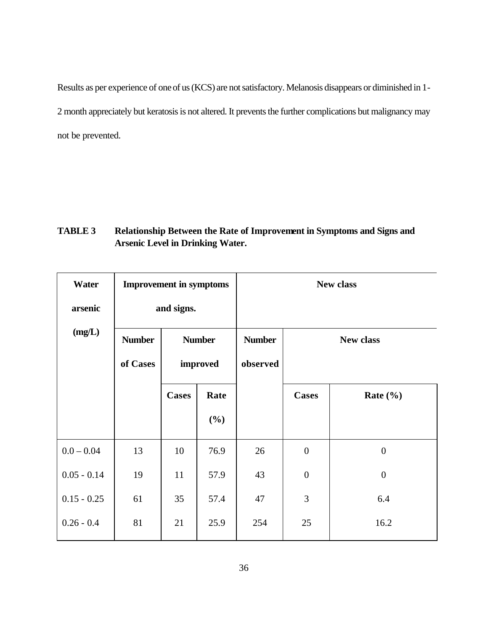Results as per experience of one of us (KCS) are not satisfactory. Melanosis disappears or diminished in 1- 2 month appreciately but keratosis is not altered. It prevents the further complications but malignancy may not be prevented.

### **TABLE 3 Relationship Between the Rate of Improvement in Symptoms and Signs and Arsenic Level in Drinking Water.**

| Water         | <b>Improvement in symptoms</b> |               |        | <b>New class</b>                  |                  |                  |  |  |
|---------------|--------------------------------|---------------|--------|-----------------------------------|------------------|------------------|--|--|
| arsenic       |                                | and signs.    |        |                                   |                  |                  |  |  |
| (mg/L)        | <b>Number</b>                  | <b>Number</b> |        | <b>Number</b><br><b>New class</b> |                  |                  |  |  |
|               | of Cases                       | improved      |        | observed                          |                  |                  |  |  |
|               |                                | <b>Cases</b>  | Rate   |                                   | <b>Cases</b>     | Rate $(\% )$     |  |  |
|               |                                |               | $(\%)$ |                                   |                  |                  |  |  |
| $0.0 - 0.04$  | 13                             | 10            | 76.9   | 26                                | $\overline{0}$   | $\boldsymbol{0}$ |  |  |
| $0.05 - 0.14$ | 19                             | 11            | 57.9   | 43                                | $\boldsymbol{0}$ | $\boldsymbol{0}$ |  |  |
| $0.15 - 0.25$ | 61                             | 35            | 57.4   | 47                                | 3                | 6.4              |  |  |
| $0.26 - 0.4$  | 81                             | 21            | 25.9   | 254                               | 25               | 16.2             |  |  |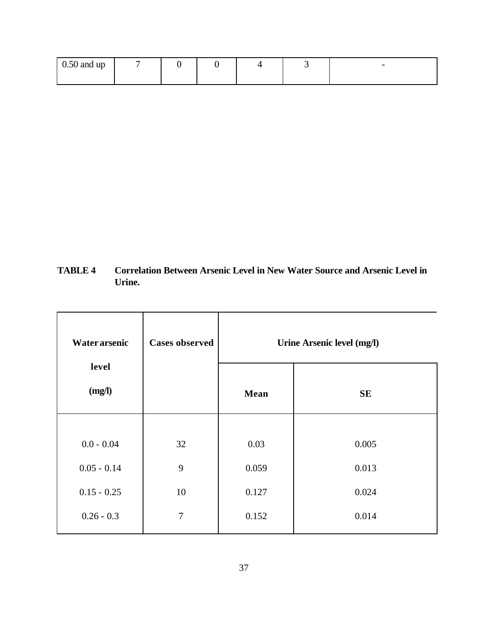| $\sim$ $\sim$ $\sim$<br>$0.50$ and up |  |  | $\overline{\phantom{0}}$ |
|---------------------------------------|--|--|--------------------------|
|                                       |  |  |                          |

**TABLE 4 Correlation Between Arsenic Level in New Water Source and Arsenic Level in Urine.**

| <b>Water arsenic</b> | <b>Cases observed</b> | Urine Arsenic level (mg/l) |           |  |  |
|----------------------|-----------------------|----------------------------|-----------|--|--|
| level<br>(mg/l)      |                       | <b>Mean</b>                | <b>SE</b> |  |  |
|                      |                       |                            |           |  |  |
| $0.0 - 0.04$         | 32                    | 0.03                       | 0.005     |  |  |
| $0.05 - 0.14$        | 9                     | 0.059                      | 0.013     |  |  |
| $0.15 - 0.25$        | 10                    | 0.127                      | 0.024     |  |  |
| $0.26 - 0.3$         | $\overline{7}$        | 0.152                      | 0.014     |  |  |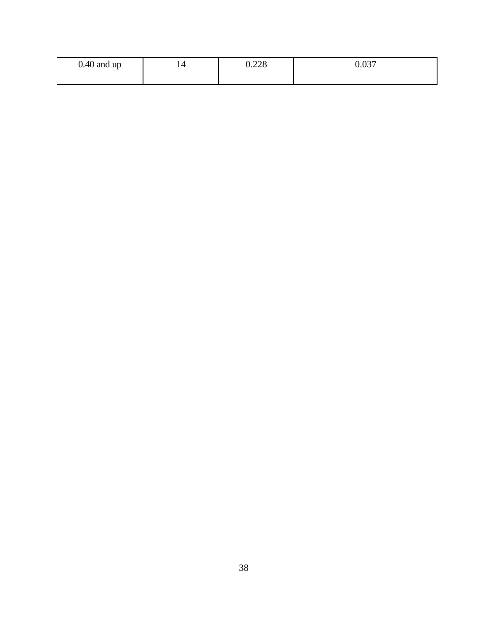| $0.40$ and up | 220<br>∪.∠∠∪ | 0.027<br>u.uj |
|---------------|--------------|---------------|
|               |              |               |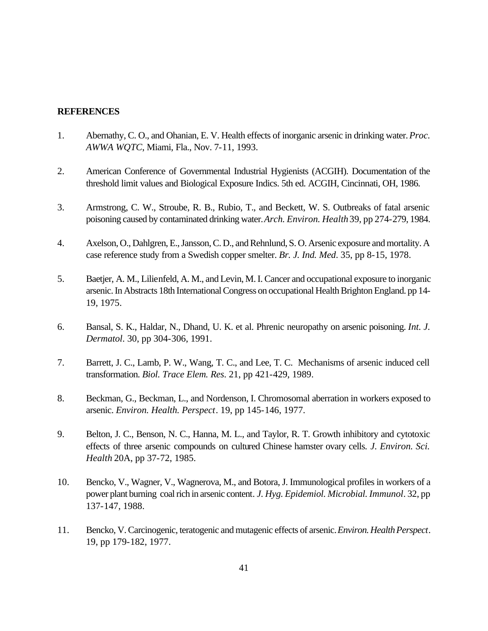#### **REFERENCES**

- 1. Abernathy, C. O., and Ohanian, E. V. Health effects of inorganic arsenic in drinking water. *Proc. AWWA WQTC*, Miami, Fla., Nov. 7-11, 1993.
- 2. American Conference of Governmental Industrial Hygienists (ACGIH). Documentation of the threshold limit values and Biological Exposure Indics. 5th ed. ACGIH, Cincinnati, OH, 1986.
- 3. Armstrong, C. W., Stroube, R. B., Rubio, T., and Beckett, W. S. Outbreaks of fatal arsenic poisoning caused by contaminated drinking water. *Arch. Environ. Health* 39, pp 274-279, 1984.
- 4. Axelson, O., Dahlgren, E., Jansson, C. D., and Rehnlund, S. O. Arsenic exposure and mortality. A case reference study from a Swedish copper smelter. *Br. J. Ind. Med*. 35, pp 8-15, 1978.
- 5. Baetjer, A. M., Lilienfeld, A. M., and Levin, M. I. Cancer and occupational exposure to inorganic arsenic. In Abstracts 18th International Congress on occupational Health Brighton England. pp 14- 19, 1975.
- 6. Bansal, S. K., Haldar, N., Dhand, U. K. et al. Phrenic neuropathy on arsenic poisoning. *Int. J. Dermatol*. 30, pp 304-306, 1991.
- 7. Barrett, J. C., Lamb, P. W., Wang, T. C., and Lee, T. C. Mechanisms of arsenic induced cell transformation. *Biol. Trace Elem. Res*. 21, pp 421-429, 1989.
- 8. Beckman, G., Beckman, L., and Nordenson, I. Chromosomal aberration in workers exposed to arsenic. *Environ. Health. Perspect*. 19, pp 145-146, 1977.
- 9. Belton, J. C., Benson, N. C., Hanna, M. L., and Taylor, R. T. Growth inhibitory and cytotoxic effects of three arsenic compounds on cultured Chinese hamster ovary cells. *J. Environ. Sci. Health* 20A, pp 37-72, 1985.
- 10. Bencko, V., Wagner, V., Wagnerova, M., and Botora, J. Immunological profiles in workers of a power plant burning coal rich in arsenic content*. J. Hyg. Epidemiol. Microbial. Immunol*. 32, pp 137-147, 1988.
- 11. Bencko, V. Carcinogenic, teratogenic and mutagenic effects of arsenic. *Environ. Health Perspect*. 19, pp 179-182, 1977.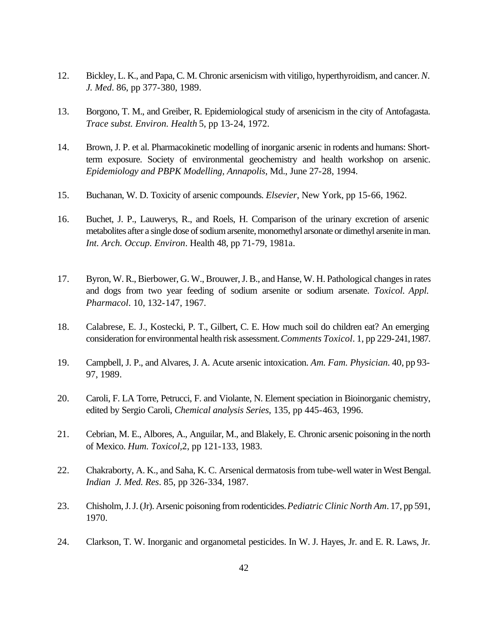- 12. Bickley, L. K., and Papa, C. M. Chronic arsenicism with vitiligo, hyperthyroidism, and cancer.*N. J. Med*. 86, pp 377-380, 1989.
- 13. Borgono, T. M., and Greiber, R. Epidemiological study of arsenicism in the city of Antofagasta. *Trace subst. Environ. Health* 5, pp 13-24, 1972.
- 14. Brown, J. P. et al. Pharmacokinetic modelling of inorganic arsenic in rodents and humans: Shortterm exposure. Society of environmental geochemistry and health workshop on arsenic. *Epidemiology and PBPK Modelling, Annapolis*, Md., June 27-28, 1994.
- 15. Buchanan, W. D. Toxicity of arsenic compounds. *Elsevier*, New York, pp 15-66, 1962.
- 16. Buchet, J. P., Lauwerys, R., and Roels, H. Comparison of the urinary excretion of arsenic metabolites after a single dose of sodium arsenite, monomethyl arsonate or dimethyl arsenite in man. *Int. Arch. Occup. Environ*. Health 48, pp 71-79, 1981a.
- 17. Byron, W. R., Bierbower, G. W., Brouwer, J. B., and Hanse, W. H. Pathological changes in rates and dogs from two year feeding of sodium arsenite or sodium arsenate. *Toxicol. Appl. Pharmacol*. 10, 132-147, 1967.
- 18. Calabrese, E. J., Kostecki, P. T., Gilbert, C. E. How much soil do children eat? An emerging consideration for environmental health risk assessment. *Comments Toxicol*. 1, pp 229-241, 1987.
- 19. Campbell, J. P., and Alvares, J. A. Acute arsenic intoxication. *Am. Fam. Physician.* 40, pp 93- 97, 1989.
- 20. Caroli, F. LA Torre, Petrucci, F. and Violante, N. Element speciation in Bioinorganic chemistry, edited by Sergio Caroli, *Chemical analysis Series*, 135, pp 445-463, 1996.
- 21. Cebrian, M. E., Albores, A., Anguilar, M., and Blakely, E. Chronic arsenic poisoning in the north of Mexico. *Hum. Toxicol,*2, pp 121-133, 1983.
- 22. Chakraborty, A. K., and Saha, K. C. Arsenical dermatosis from tube-well water in West Bengal. *Indian J. Med. Res*. 85, pp 326-334, 1987.
- 23. Chisholm, J. J. (Jr). Arsenic poisoning from rodenticides. *Pediatric Clinic North Am*. 17, pp 591, 1970.
- 24. Clarkson, T. W. Inorganic and organometal pesticides. In W. J. Hayes, Jr. and E. R. Laws, Jr.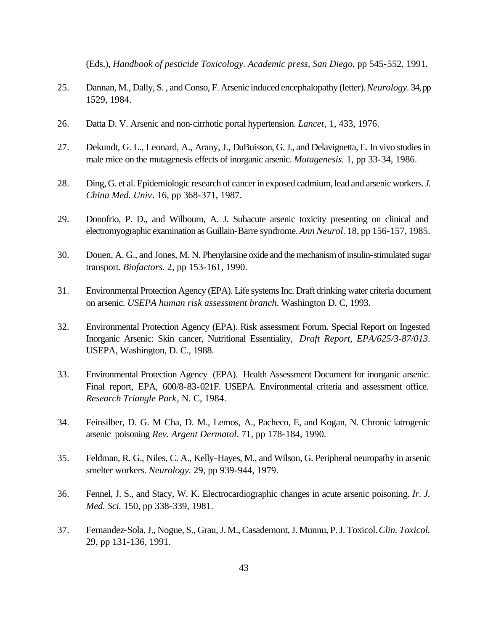(Eds.), *Handbook of pesticide Toxicology. Academic press, San Diego*, pp 545-552, 1991.

- 25. Dannan, M., Dally, S. , and Conso, F. Arsenic induced encephalopathy (letter). *Neurology.* 34, pp 1529, 1984.
- 26. Datta D. V. Arsenic and non-cirrhotic portal hypertension. *Lancet*, 1, 433, 1976.
- 27. Dekundt, G. L., Leonard, A., Arany, J., DuBuisson, G. J., and Delavignetta, E. In vivo studies in male mice on the mutagenesis effects of inorganic arsenic. *Mutagenesis.* 1, pp 33-34, 1986.
- 28. Ding, G. et al. Epidemiologic research of cancer in exposed cadmium, lead and arsenic workers. *J. China Med. Univ*. 16, pp 368-371, 1987.
- 29. Donofrio, P. D., and Wilbourn, A. J. Subacute arsenic toxicity presenting on clinical and electromyographic examination as Guillain-Barre syndrome. *Ann Neurol*. 18, pp 156-157, 1985.
- 30. Douen, A. G., and Jones, M. N. Phenylarsine oxide and the mechanism of insulin-stimulated sugar transport. *Biofactors*. 2, pp 153-161, 1990.
- 31. Environmental Protection Agency (EPA). Life systems Inc. Draft drinking water criteria document on arsenic. *USEPA human risk assessment branch*. Washington D. C, 1993.
- 32. Environmental Protection Agency (EPA). Risk assessment Forum. Special Report on Ingested Inorganic Arsenic: Skin cancer, Nutritional Essentiality, *Draft Report, EPA/625/3-87/013*. USEPA, Washington, D. C., 1988.
- 33. Environmental Protection Agency (EPA). Health Assessment Document for inorganic arsenic. Final report, EPA, 600/8-83-021F. USEPA. Environmental criteria and assessment office. *Research Triangle Park*, N. C, 1984.
- 34. Feinsilber, D. G. M Cha, D. M., Lemos, A., Pacheco, E, and Kogan, N. Chronic iatrogenic arsenic poisoning *Rev. Argent Dermatol*. 71, pp 178-184, 1990.
- 35. Feldman, R. G., Niles, C. A., Kelly-Hayes, M., and Wilson, G. Peripheral neuropathy in arsenic smelter workers. *Neurology.* 29, pp 939-944, 1979.
- 36. Fennel, J. S., and Stacy, W. K. Electrocardiographic changes in acute arsenic poisoning. *Ir. J. Med. Sci.* 150, pp 338-339, 1981.
- 37. Fernandez-Sola, J., Nogue, S., Grau, J. M., Casademont, J. Munnu, P. J. Toxicol. *Clin. Toxicol.* 29, pp 131-136, 1991.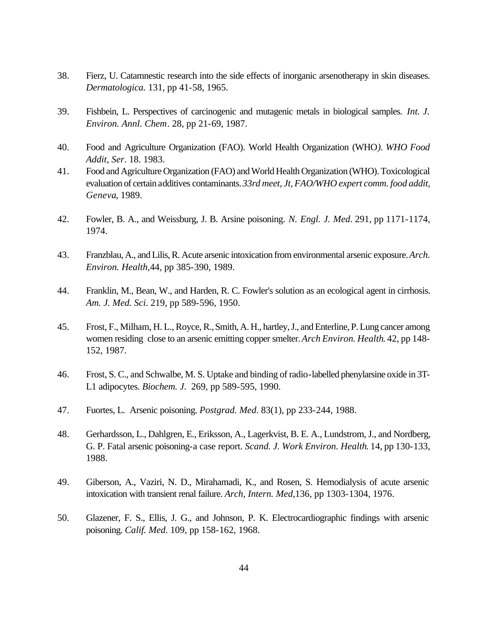- 38. Fierz, U. Catamnestic research into the side effects of inorganic arsenotherapy in skin diseases. *Dermatologica.* 131, pp 41-58, 1965.
- 39. Fishbein, L. Perspectives of carcinogenic and mutagenic metals in biological samples. *Int. J. Environ. Annl. Chem*. 28, pp 21-69, 1987.
- 40. Food and Agriculture Organization (FAO). World Health Organization (WHO*). WHO Food Addit, Ser*. 18. 1983.
- 41. Food and Agriculture Organization (FAO) and World Health Organization (WHO). Toxicological evaluation of certain additives contaminants. *33rd meet, Jt, FAO/WHO expert comm. food addit, Geneva*, 1989.
- 42. Fowler, B. A., and Weissburg, J. B. Arsine poisoning. *N. Engl. J. Med*. 291, pp 1171-1174, 1974.
- 43. Franzblau, A., and Lilis, R. Acute arsenic intoxication from environmental arsenic exposure. *Arch. Environ. Health,*44, pp 385-390, 1989.
- 44. Franklin, M., Bean, W., and Harden, R. C. Fowler's solution as an ecological agent in cirrhosis. *Am. J. Med. Sci*. 219, pp 589-596, 1950.
- 45. Frost, F., Milham, H. L., Royce, R., Smith, A. H., hartley, J., and Enterline, P. Lung cancer among women residing close to an arsenic emitting copper smelter. *Arch Environ. Health*. 42, pp 148- 152, 1987.
- 46. Frost, S. C., and Schwalbe, M. S. Uptake and binding of radio-labelled phenylarsine oxide in 3T-L1 adipocytes. *Biochem. J*. 269, pp 589-595, 1990.
- 47. Fuortes, L. Arsenic poisoning. *Postgrad. Med*. 83(1), pp 233-244, 1988.
- 48. Gerhardsson, L., Dahlgren, E., Eriksson, A., Lagerkvist, B. E. A., Lundstrom, J., and Nordberg, G. P. Fatal arsenic poisoning-a case report. *Scand. J. Work Environ. Health*. 14, pp 130-133, 1988.
- 49. Giberson, A., Vaziri, N. D., Mirahamadi, K., and Rosen, S. Hemodialysis of acute arsenic intoxication with transient renal failure. *Arch, Intern. Med,*136, pp 1303-1304, 1976.
- 50. Glazener, F. S., Ellis, J. G., and Johnson, P. K. Electrocardiographic findings with arsenic poisoning. *Calif. Med*. 109, pp 158-162, 1968.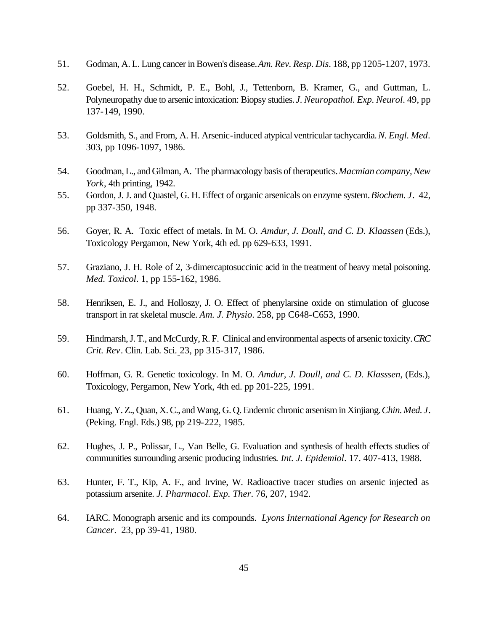- 51. Godman, A. L. Lung cancer in Bowen's disease. *Am. Rev. Resp. Dis*. 188, pp 1205-1207, 1973.
- 52. Goebel, H. H., Schmidt, P. E., Bohl, J., Tettenborn, B. Kramer, G., and Guttman, L. Polyneuropathy due to arsenic intoxication: Biopsy studies. *J. Neuropathol. Exp. Neurol*. 49, pp 137-149, 1990.
- 53. Goldsmith, S., and From, A. H. Arsenic-induced atypical ventricular tachycardia. *N. Engl. Med*. 303, pp 1096-1097, 1986.
- 54. Goodman, L., and Gilman, A. The pharmacology basis of therapeutics. *Macmian company, New York*, 4th printing, 1942.
- 55. Gordon, J. J. and Quastel, G. H. Effect of organic arsenicals on enzyme system. *Biochem. J*. 42, pp 337-350, 1948.
- 56. Goyer, R. A. Toxic effect of metals. In M. O. *Amdur, J. Doull, and C. D. Klaassen* (Eds.), Toxicology Pergamon, New York, 4th ed. pp 629-633, 1991.
- 57. Graziano, J. H. Role of 2, 3-dimercaptosuccinic acid in the treatment of heavy metal poisoning. *Med. Toxicol*. 1, pp 155-162, 1986.
- 58. Henriksen, E. J., and Holloszy, J. O. Effect of phenylarsine oxide on stimulation of glucose transport in rat skeletal muscle. *Am. J. Physio*. 258, pp C648-C653, 1990.
- 59. Hindmarsh, J. T., and McCurdy, R. F. Clinical and environmental aspects of arsenic toxicity. *CRC Crit. Rev*. Clin. Lab. Sci. 23, pp 315-317, 1986.
- 60. Hoffman, G. R. Genetic toxicology. In M. O. *Amdur, J. Doull, and C. D. Klasssen*, (Eds.), Toxicology, Pergamon, New York, 4th ed. pp 201-225, 1991.
- 61. Huang, Y. Z., Quan, X. C., and Wang, G. Q. Endemic chronic arsenism in Xinjiang. *Chin. Med. J*. (Peking. Engl. Eds.) 98, pp 219-222, 1985.
- 62. Hughes, J. P., Polissar, L., Van Belle, G. Evaluation and synthesis of health effects studies of communities surrounding arsenic producing industries*. Int. J. Epidemiol*. 17. 407-413, 1988.
- 63. Hunter, F. T., Kip, A. F., and Irvine, W. Radioactive tracer studies on arsenic injected as potassium arsenite. *J. Pharmacol. Exp. Ther*. 76, 207, 1942.
- 64. IARC. Monograph arsenic and its compounds. *Lyons International Agency for Research on Cancer*. 23, pp 39-41, 1980.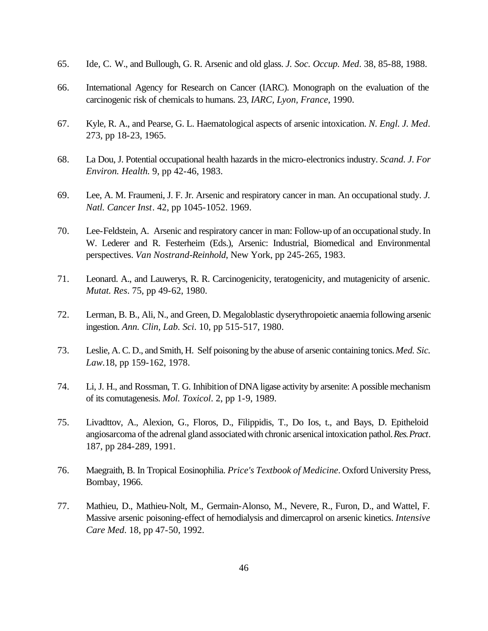- 65. Ide, C. W., and Bullough, G. R. Arsenic and old glass. *J. Soc. Occup. Med*. 38, 85-88, 1988.
- 66. International Agency for Research on Cancer (IARC). Monograph on the evaluation of the carcinogenic risk of chemicals to humans. 23, *IARC, Lyon, France*, 1990.
- 67. Kyle, R. A., and Pearse, G. L. Haematological aspects of arsenic intoxication. *N. Engl. J. Med*. 273, pp 18-23, 1965.
- 68. La Dou, J. Potential occupational health hazards in the micro-electronics industry. *Scand. J. For Environ. Health.* 9, pp 42-46, 1983.
- 69. Lee, A. M. Fraumeni, J. F. Jr. Arsenic and respiratory cancer in man. An occupational study. *J. Natl. Cancer Inst*. 42, pp 1045-1052. 1969.
- 70. Lee-Feldstein, A. Arsenic and respiratory cancer in man: Follow-up of an occupational study. In W. Lederer and R. Festerheim (Eds.), Arsenic: Industrial, Biomedical and Environmental perspectives. *Van Nostrand-Reinhold*, New York, pp 245-265, 1983.
- 71. Leonard. A., and Lauwerys, R. R. Carcinogenicity, teratogenicity, and mutagenicity of arsenic. *Mutat. Res*. 75, pp 49-62, 1980.
- 72. Lerman, B. B., Ali, N., and Green, D. Megaloblastic dyserythropoietic anaemia following arsenic ingestion. *Ann. Clin, Lab. Sci*. 10, pp 515-517, 1980.
- 73. Leslie, A. C. D., and Smith, H. Self poisoning by the abuse of arsenic containing tonics. *Med. Sic. Law.*18, pp 159-162, 1978.
- 74. Li, J. H., and Rossman, T. G. Inhibition of DNA ligase activity by arsenite: A possible mechanism of its comutagenesis. *Mol. Toxicol*. 2, pp 1-9, 1989.
- 75. Livadttov, A., Alexion, G., Floros, D., Filippidis, T., Do Ios, t., and Bays, D. Epitheloid angiosarcoma of the adrenal gland associated with chronic arsenical intoxication pathol. *Res. Pract*. 187, pp 284-289, 1991.
- 76. Maegraith, B. In Tropical Eosinophilia. *Price's Textbook of Medicine*. Oxford University Press, Bombay, 1966.
- 77. Mathieu, D., Mathieu-Nolt, M., Germain-Alonso, M., Nevere, R., Furon, D., and Wattel, F. Massive arsenic poisoning-effect of hemodialysis and dimercaprol on arsenic kinetics. *Intensive Care Med*. 18, pp 47-50, 1992.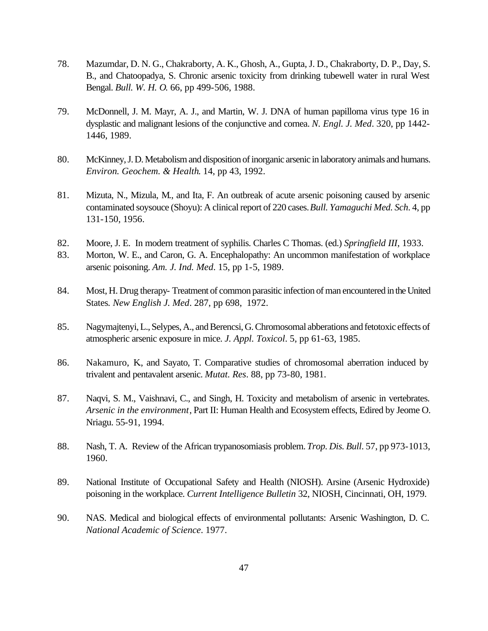- 78. Mazumdar, D. N. G., Chakraborty, A. K., Ghosh, A., Gupta, J. D., Chakraborty, D. P., Day, S. B., and Chatoopadya, S. Chronic arsenic toxicity from drinking tubewell water in rural West Bengal. *Bull. W. H. O*. 66, pp 499-506, 1988.
- 79. McDonnell, J. M. Mayr, A. J., and Martin, W. J. DNA of human papilloma virus type 16 in dysplastic and malignant lesions of the conjunctive and cornea. *N. Engl. J. Med*. 320, pp 1442- 1446, 1989.
- 80. McKinney, J. D. Metabolism and disposition of inorganic arsenic in laboratory animals and humans. *Environ. Geochem. & Health*. 14, pp 43, 1992.
- 81. Mizuta, N., Mizula, M., and Ita, F. An outbreak of acute arsenic poisoning caused by arsenic contaminated soysouce (Shoyu): A clinical report of 220 cases. *Bull. Yamaguchi Med. Sch*. 4, pp 131-150, 1956.
- 82. Moore, J. E. In modern treatment of syphilis. Charles C Thomas. (ed.) *Springfield III*, 1933.
- 83. Morton, W. E., and Caron, G. A. Encephalopathy: An uncommon manifestation of workplace arsenic poisoning. *Am. J. Ind. Med*. 15, pp 1-5, 1989.
- 84. Most, H. Drug therapy- Treatment of common parasitic infection of man encountered in the United States*. New English J. Med*. 287, pp 698, 1972.
- 85. Nagymajtenyi, L., Selypes, A., and Berencsi, G. Chromosomal abberations and fetotoxic effects of atmospheric arsenic exposure in mice. *J. Appl. Toxicol*. 5, pp 61-63, 1985.
- 86. Nakamuro, K., and Sayato, T. Comparative studies of chromosomal aberration induced by trivalent and pentavalent arsenic. *Mutat. Res*. 88, pp 73-80, 1981.
- 87. Naqvi, S. M., Vaishnavi, C., and Singh, H. Toxicity and metabolism of arsenic in vertebrates. *Arsenic in the environment*, Part II: Human Health and Ecosystem effects, Edired by Jeome O. Nriagu. 55-91, 1994.
- 88. Nash, T. A. Review of the African trypanosomiasis problem. *Trop. Dis. Bull*. 57, pp 973-1013, 1960.
- 89. National Institute of Occupational Safety and Health (NIOSH). Arsine (Arsenic Hydroxide) poisoning in the workplace. *Current Intelligence Bulletin* 32, NIOSH, Cincinnati, OH, 1979.
- 90. NAS. Medical and biological effects of environmental pollutants: Arsenic Washington, D. C. *National Academic of Science*. 1977.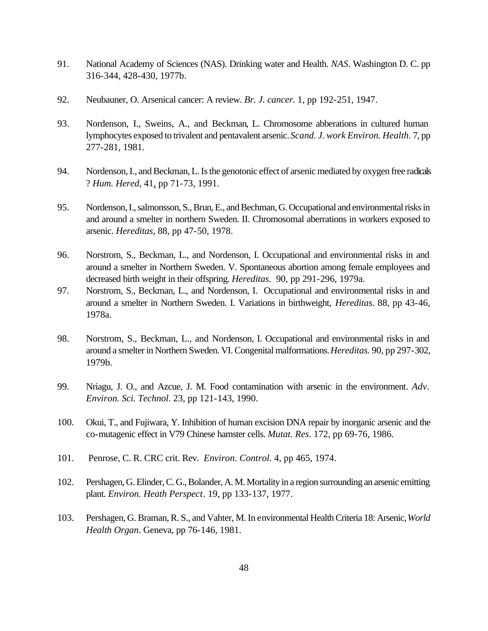- 91. National Academy of Sciences (NAS). Drinking water and Health. *NAS*. Washington D. C. pp 316-344, 428-430, 1977b.
- 92. Neubauner, O. Arsenical cancer: A review. *Br. J. cancer.* 1, pp 192-251, 1947.
- 93. Nordenson, I., Sweins, A., and Beckman, L. Chromosome abberations in cultured human lymphocytes exposed to trivalent and pentavalent arsenic. *Scand. J. work Environ. Health.* 7, pp 277-281, 1981.
- 94. Nordenson, I., and Beckman, L. Is the genotonic effect of arsenic mediated by oxygen free radicals ? *Hum. Hered*, 41, pp 71-73, 1991.
- 95. Nordenson, I., salmonsson, S., Brun, E., and Bechman, G. Occupational and environmental risks in and around a smelter in northern Sweden. II. Chromosomal aberrations in workers exposed to arsenic. *Hereditas*, 88, pp 47-50, 1978.
- 96. Norstrom, S., Beckman, L., and Nordenson, I. Occupational and environmental risks in and around a smelter in Northern Sweden. V. Spontaneous abortion among female employees and decreased birth weight in their offspring. *Hereditas*. 90, pp 291-296, 1979a.
- 97. Norstrom, S., Beckman, L., and Nordenson, I. Occupational and environmental risks in and around a smelter in Northern Sweden. I. Variations in birthweight, *Hereditas*. 88, pp 43-46, 1978a.
- 98. Norstrom, S., Beckman, L., and Nordenson, I. Occupational and environmental risks in and around a smelter in Northern Sweden. VI. Congenital malformations. *Hereditas.* 90, pp 297-302, 1979b.
- 99. Nriagu, J. O., and Azcue, J. M. Food contamination with arsenic in the environment*. Adv. Environ. Sci. Technol*. 23, pp 121-143, 1990.
- 100. Okui, T., and Fujiwara, Y. Inhibition of human excision DNA repair by inorganic arsenic and the co-mutagenic effect in V79 Chinese hamster cells. *Mutat. Res*. 172, pp 69-76, 1986.
- 101. Penrose, C. R. CRC crit. Rev. *Environ. Control.* 4, pp 465, 1974.
- 102. Pershagen, G. Elinder, C. G., Bolander, A. M. Mortality in a region surrounding an arsenic emitting plant. *Environ. Heath Perspect*. 19, pp 133-137, 1977.
- 103. Pershagen, G. Braman, R. S., and Vahter, M. In environmental Health Criteria 18: Arsenic, *World Health Organ*. Geneva, pp 76-146, 1981.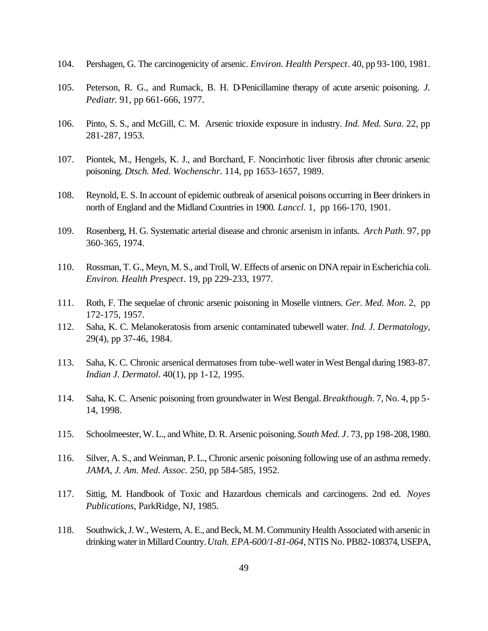- 104. Pershagen, G. The carcinogenicity of arsenic. *Environ. Health Perspect*. 40, pp 93-100, 1981.
- 105. Peterson, R. G., and Rumack, B. H. D-Penicillamine therapy of acute arsenic poisoning. *J. Pediatr*. 91, pp 661-666, 1977.
- 106. Pinto, S. S., and McGill, C. M. Arsenic trioxide exposure in industry. *Ind. Med. Sura*. 22, pp 281-287, 1953.
- 107. Piontek, M., Hengels, K. J., and Borchard, F. Noncirrhotic liver fibrosis after chronic arsenic poisoning. *Dtsch. Med. Wochenschr*. 114, pp 1653-1657, 1989.
- 108. Reynold, E. S. In account of epidemic outbreak of arsenical poisons occurring in Beer drinkers in north of England and the Midland Countries in 1900*. Lanccl.* 1, pp 166-170, 1901.
- 109. Rosenberg, H. G. Systematic arterial disease and chronic arsenism in infants. *Arch Path.* 97, pp 360-365, 1974.
- 110. Rossman, T. G., Meyn, M. S., and Troll, W. Effects of arsenic on DNA repair in Escherichia coli. *Environ. Health Prespect*. 19, pp 229-233, 1977.
- 111. Roth, F. The sequelae of chronic arsenic poisoning in Moselle vintners. *Ger. Med. Mon*. 2, pp 172-175, 1957.
- 112. Saha, K. C. Melanokeratosis from arsenic contaminated tubewell water. *Ind. J. Dermatology*, 29(4), pp 37-46, 1984.
- 113. Saha, K. C. Chronic arsenical dermatoses from tube-well water in West Bengal during 1983-87. *Indian J. Dermatol*. 40(1), pp 1-12, 1995.
- 114. Saha, K. C. Arsenic poisoning from groundwater in West Bengal. *Breakthough*. 7, No. 4, pp 5- 14, 1998.
- 115. Schoolmeester, W. L., and White, D. R. Arsenic poisoning. *South Med. J*. 73, pp 198-208, 1980.
- 116. Silver, A. S., and Weinman, P. L., Chronic arsenic poisoning following use of an asthma remedy. *JAMA, J. Am. Med. Assoc.* 250, pp 584-585, 1952.
- 117. Sittig, M. Handbook of Toxic and Hazardous chemicals and carcinogens. 2nd ed. *Noyes Publications*, ParkRidge, NJ, 1985.
- 118. Southwick, J. W., Western, A. E., and Beck, M. M. Community Health Associated with arsenic in drinking water in Millard Country. *Utah. EPA-600/1-81-064*, NTIS No. PB82-108374, USEPA,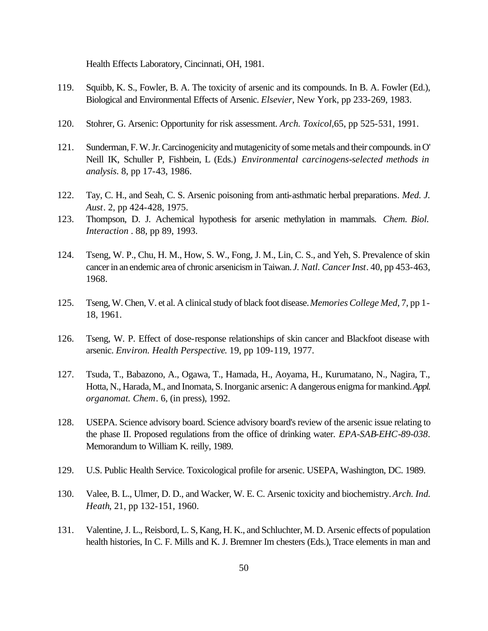Health Effects Laboratory, Cincinnati, OH, 1981.

- 119. Squibb, K. S., Fowler, B. A. The toxicity of arsenic and its compounds. In B. A. Fowler (Ed.), Biological and Environmental Effects of Arsenic. *Elsevier*, New York, pp 233-269, 1983.
- 120. Stohrer, G. Arsenic: Opportunity for risk assessment. *Arch. Toxicol,*65, pp 525-531, 1991.
- 121. Sunderman, F. W. Jr. Carcinogenicity and mutagenicity of some metals and their compounds. in O' Neill IK, Schuller P, Fishbein, L (Eds.) *Environmental carcinogens-selected methods in analysis*. 8, pp 17-43, 1986.
- 122. Tay, C. H., and Seah, C. S. Arsenic poisoning from anti-asthmatic herbal preparations*. Med. J. Aust*. 2, pp 424-428, 1975.
- 123. Thompson, D. J. Achemical hypothesis for arsenic methylation in mammals. *Chem. Biol. Interaction* . 88, pp 89, 1993.
- 124. Tseng, W. P., Chu, H. M., How, S. W., Fong, J. M., Lin, C. S., and Yeh, S. Prevalence of skin cancer in an endemic area of chronic arsenicism in Taiwan. *J. Natl. Cancer Inst*. 40, pp 453-463, 1968.
- 125. Tseng, W. Chen, V. et al. A clinical study of black foot disease. *Memories College Med*, 7, pp 1- 18, 1961.
- 126. Tseng, W. P. Effect of dose-response relationships of skin cancer and Blackfoot disease with arsenic. *Environ. Health Perspective*. 19, pp 109-119, 1977.
- 127. Tsuda, T., Babazono, A., Ogawa, T., Hamada, H., Aoyama, H., Kurumatano, N., Nagira, T., Hotta, N., Harada, M., and Inomata, S. Inorganic arsenic: A dangerous enigma for mankind. *Appl. organomat. Chem*. 6, (in press), 1992.
- 128. USEPA. Science advisory board. Science advisory board's review of the arsenic issue relating to the phase II. Proposed regulations from the office of drinking water. *EPA-SAB-EHC-89-038*. Memorandum to William K. reilly, 1989.
- 129. U.S. Public Health Service. Toxicological profile for arsenic. USEPA, Washington, DC. 1989.
- 130. Valee, B. L., Ulmer, D. D., and Wacker, W. E. C. Arsenic toxicity and biochemistry. *Arch. Ind. Heath*, 21, pp 132-151, 1960.
- 131. Valentine, J. L., Reisbord, L. S, Kang, H. K., and Schluchter, M. D. Arsenic effects of population health histories, In C. F. Mills and K. J. Bremner Im chesters (Eds.), Trace elements in man and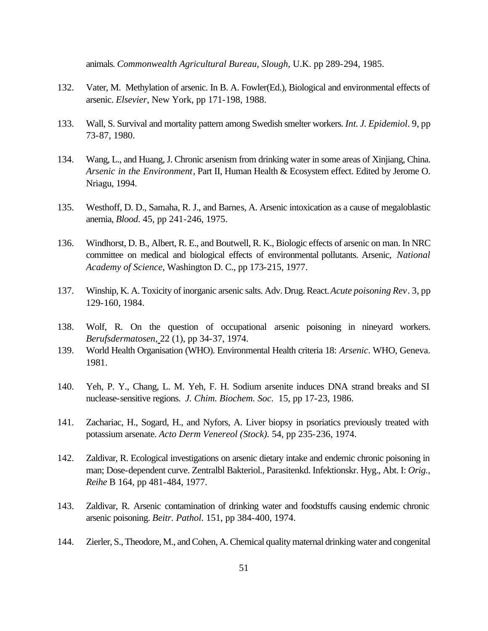animals. *Commonwealth Agricultural Bureau, Slough*, U.K. pp 289-294, 1985.

- 132. Vater, M. Methylation of arsenic. In B. A. Fowler(Ed.), Biological and environmental effects of arsenic. *Elsevier*, New York, pp 171-198, 1988.
- 133. Wall, S. Survival and mortality pattern among Swedish smelter workers*. Int. J. Epidemiol*. 9, pp 73-87, 1980.
- 134. Wang, L., and Huang, J. Chronic arsenism from drinking water in some areas of Xinjiang, China. *Arsenic in the Environment*, Part II, Human Health & Ecosystem effect. Edited by Jerome O. Nriagu, 1994.
- 135. Westhoff, D. D., Samaha, R. J., and Barnes, A. Arsenic intoxication as a cause of megaloblastic anemia, *Blood*. 45, pp 241-246, 1975.
- 136. Windhorst, D. B., Albert, R. E., and Boutwell, R. K., Biologic effects of arsenic on man. In NRC committee on medical and biological effects of environmental pollutants. Arsenic, *National Academy of Science*, Washington D. C., pp 173-215, 1977.
- 137. Winship, K. A. Toxicity of inorganic arsenic salts. Adv. Drug. React. *Acute poisoning Rev*. 3, pp 129-160, 1984.
- 138. Wolf, R. On the question of occupational arsenic poisoning in nineyard workers. *Berufsdermatosen*, 22 (1), pp 34-37, 1974.
- 139. World Health Organisation (WHO). Environmental Health criteria 18: *Arsenic*. WHO, Geneva. 1981.
- 140. Yeh, P. Y., Chang, L. M. Yeh, F. H. Sodium arsenite induces DNA strand breaks and SI nuclease-sensitive regions. *J. Chim. Biochem. Soc*. 15, pp 17-23, 1986.
- 141. Zachariac, H., Sogard, H., and Nyfors, A. Liver biopsy in psoriatics previously treated with potassium arsenate. *Acto Derm Venereol (Stock).* 54, pp 235-236, 1974.
- 142. Zaldivar, R. Ecological investigations on arsenic dietary intake and endemic chronic poisoning in man; Dose-dependent curve. Zentralbl Bakteriol., Parasitenkd. Infektionskr. Hyg., Abt. I: *Orig., Reihe* B 164, pp 481-484, 1977.
- 143. Zaldivar, R. Arsenic contamination of drinking water and foodstuffs causing endemic chronic arsenic poisoning. *Beitr. Pathol*. 151, pp 384-400, 1974.
- 144. Zierler, S., Theodore, M., and Cohen, A. Chemical quality maternal drinking water and congenital